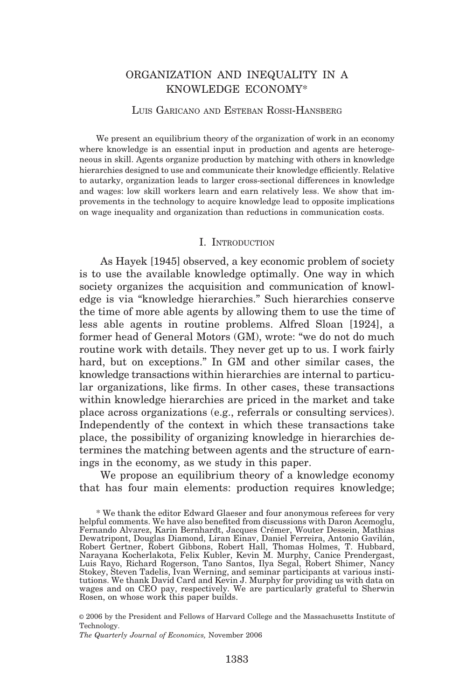# ORGANIZATION AND INEQUALITY IN A KNOWLEDGE ECONOMY\*

## LUIS GARICANO AND ESTEBAN ROSSI-HANSBERG

We present an equilibrium theory of the organization of work in an economy where knowledge is an essential input in production and agents are heterogeneous in skill. Agents organize production by matching with others in knowledge hierarchies designed to use and communicate their knowledge efficiently. Relative to autarky, organization leads to larger cross-sectional differences in knowledge and wages: low skill workers learn and earn relatively less. We show that improvements in the technology to acquire knowledge lead to opposite implications on wage inequality and organization than reductions in communication costs.

# I. INTRODUCTION

As Hayek [1945] observed, a key economic problem of society is to use the available knowledge optimally. One way in which society organizes the acquisition and communication of knowledge is via "knowledge hierarchies." Such hierarchies conserve the time of more able agents by allowing them to use the time of less able agents in routine problems. Alfred Sloan [1924], a former head of General Motors (GM), wrote: "we do not do much routine work with details. They never get up to us. I work fairly hard, but on exceptions." In GM and other similar cases, the knowledge transactions within hierarchies are internal to particular organizations, like firms. In other cases, these transactions within knowledge hierarchies are priced in the market and take place across organizations (e.g., referrals or consulting services). Independently of the context in which these transactions take place, the possibility of organizing knowledge in hierarchies determines the matching between agents and the structure of earnings in the economy, as we study in this paper.

We propose an equilibrium theory of a knowledge economy that has four main elements: production requires knowledge;

© 2006 by the President and Fellows of Harvard College and the Massachusetts Institute of Technology.

*The Quarterly Journal of Economics,* November 2006

<sup>\*</sup> We thank the editor Edward Glaeser and four anonymous referees for very helpful comments. We have also benefited from discussions with Daron Acemoglu, Fernando Alvarez, Karin Bernhardt, Jacques Crémer, Wouter Dessein, Mathias Dewatripont, Douglas Diamond, Liran Einav, Daniel Ferreira, Antonio Gavila´n, Robert Gertner, Robert Gibbons, Robert Hall, Thomas Holmes, T. Hubbard, Narayana Kocherlakota, Felix Kubler, Kevin M. Murphy, Canice Prendergast,<br>Luis Rayo, Richard Rogerson, Tano Santos, Ilya Segal, Robert Shimer, Nancy<br>Stokey, Steven Tadelis, Ivan Werning, and seminar participants at various tutions. We thank David Card and Kevin J. Murphy for providing us with data on wages and on CEO pay, respectively. We are particularly grateful to Sherwin Rosen, on whose work this paper builds.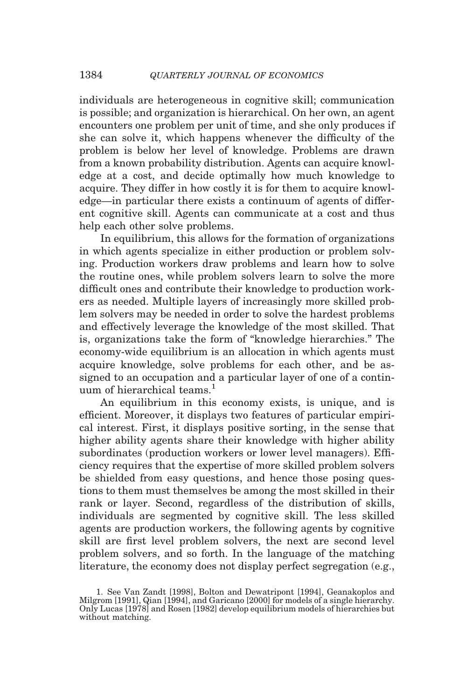individuals are heterogeneous in cognitive skill; communication is possible; and organization is hierarchical. On her own, an agent encounters one problem per unit of time, and she only produces if she can solve it, which happens whenever the difficulty of the problem is below her level of knowledge. Problems are drawn from a known probability distribution. Agents can acquire knowledge at a cost, and decide optimally how much knowledge to acquire. They differ in how costly it is for them to acquire knowledge—in particular there exists a continuum of agents of different cognitive skill. Agents can communicate at a cost and thus help each other solve problems.

In equilibrium, this allows for the formation of organizations in which agents specialize in either production or problem solving. Production workers draw problems and learn how to solve the routine ones, while problem solvers learn to solve the more difficult ones and contribute their knowledge to production workers as needed. Multiple layers of increasingly more skilled problem solvers may be needed in order to solve the hardest problems and effectively leverage the knowledge of the most skilled. That is, organizations take the form of "knowledge hierarchies." The economy-wide equilibrium is an allocation in which agents must acquire knowledge, solve problems for each other, and be assigned to an occupation and a particular layer of one of a continuum of hierarchical teams.<sup>1</sup>

An equilibrium in this economy exists, is unique, and is efficient. Moreover, it displays two features of particular empirical interest. First, it displays positive sorting, in the sense that higher ability agents share their knowledge with higher ability subordinates (production workers or lower level managers). Efficiency requires that the expertise of more skilled problem solvers be shielded from easy questions, and hence those posing questions to them must themselves be among the most skilled in their rank or layer. Second, regardless of the distribution of skills, individuals are segmented by cognitive skill. The less skilled agents are production workers, the following agents by cognitive skill are first level problem solvers, the next are second level problem solvers, and so forth. In the language of the matching literature, the economy does not display perfect segregation (e.g.,

<sup>1.</sup> See Van Zandt [1998], Bolton and Dewatripont [1994], Geanakoplos and Milgrom [1991], Qian [1994], and Garicano [2000] for models of a single hierarchy. Only Lucas [1978] and Rosen [1982] develop equilibrium models of hierarchies but without matching.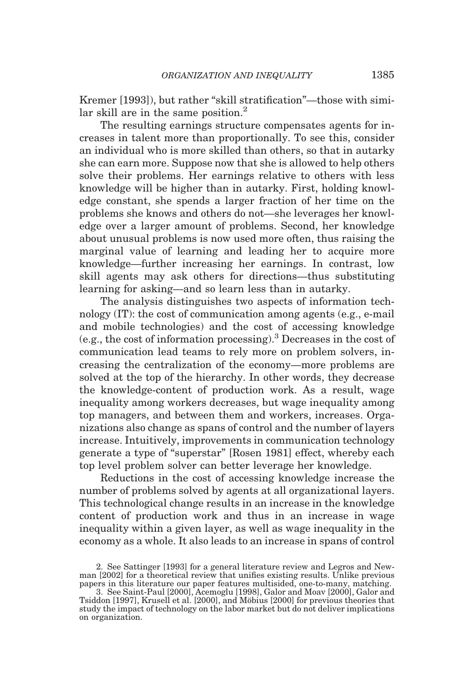Kremer [1993]), but rather "skill stratification"—those with similar skill are in the same position.<sup>2</sup>

The resulting earnings structure compensates agents for increases in talent more than proportionally. To see this, consider an individual who is more skilled than others, so that in autarky she can earn more. Suppose now that she is allowed to help others solve their problems. Her earnings relative to others with less knowledge will be higher than in autarky. First, holding knowledge constant, she spends a larger fraction of her time on the problems she knows and others do not—she leverages her knowledge over a larger amount of problems. Second, her knowledge about unusual problems is now used more often, thus raising the marginal value of learning and leading her to acquire more knowledge—further increasing her earnings. In contrast, low skill agents may ask others for directions—thus substituting learning for asking—and so learn less than in autarky.

The analysis distinguishes two aspects of information technology (IT): the cost of communication among agents (e.g., e-mail and mobile technologies) and the cost of accessing knowledge (e.g., the cost of information processing).3 Decreases in the cost of communication lead teams to rely more on problem solvers, increasing the centralization of the economy—more problems are solved at the top of the hierarchy. In other words, they decrease the knowledge-content of production work. As a result, wage inequality among workers decreases, but wage inequality among top managers, and between them and workers, increases. Organizations also change as spans of control and the number of layers increase. Intuitively, improvements in communication technology generate a type of "superstar" [Rosen 1981] effect, whereby each top level problem solver can better leverage her knowledge.

Reductions in the cost of accessing knowledge increase the number of problems solved by agents at all organizational layers. This technological change results in an increase in the knowledge content of production work and thus in an increase in wage inequality within a given layer, as well as wage inequality in the economy as a whole. It also leads to an increase in spans of control

<sup>2.</sup> See Sattinger [1993] for a general literature review and Legros and Newman [2002] for a theoretical review that unifies existing results. Unlike previous papers in this literature our paper features multisided, one-to-many, matching.

<sup>3.</sup> See Saint-Paul [2000], Acemoglu [1998], Galor and Moav [2000], Galor and Tsiddon [1997], Krusell et al. [2000], and Möbius [2000] for previous theories that study the impact of technology on the labor market but do not deliver implications on organization.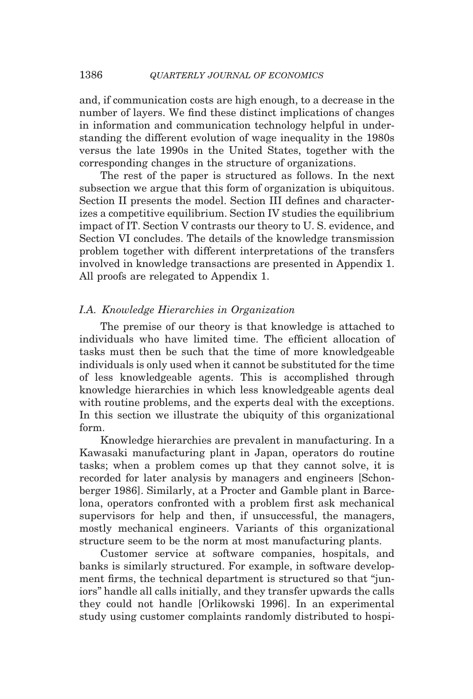and, if communication costs are high enough, to a decrease in the number of layers. We find these distinct implications of changes in information and communication technology helpful in understanding the different evolution of wage inequality in the 1980s versus the late 1990s in the United States, together with the corresponding changes in the structure of organizations.

The rest of the paper is structured as follows. In the next subsection we argue that this form of organization is ubiquitous. Section II presents the model. Section III defines and characterizes a competitive equilibrium. Section IV studies the equilibrium impact of IT. Section V contrasts our theory to U. S. evidence, and Section VI concludes. The details of the knowledge transmission problem together with different interpretations of the transfers involved in knowledge transactions are presented in Appendix 1. All proofs are relegated to Appendix 1.

## *I.A. Knowledge Hierarchies in Organization*

The premise of our theory is that knowledge is attached to individuals who have limited time. The efficient allocation of tasks must then be such that the time of more knowledgeable individuals is only used when it cannot be substituted for the time of less knowledgeable agents. This is accomplished through knowledge hierarchies in which less knowledgeable agents deal with routine problems, and the experts deal with the exceptions. In this section we illustrate the ubiquity of this organizational form.

Knowledge hierarchies are prevalent in manufacturing. In a Kawasaki manufacturing plant in Japan, operators do routine tasks; when a problem comes up that they cannot solve, it is recorded for later analysis by managers and engineers [Schonberger 1986]. Similarly, at a Procter and Gamble plant in Barcelona, operators confronted with a problem first ask mechanical supervisors for help and then, if unsuccessful, the managers, mostly mechanical engineers. Variants of this organizational structure seem to be the norm at most manufacturing plants.

Customer service at software companies, hospitals, and banks is similarly structured. For example, in software development firms, the technical department is structured so that "juniors" handle all calls initially, and they transfer upwards the calls they could not handle [Orlikowski 1996]. In an experimental study using customer complaints randomly distributed to hospi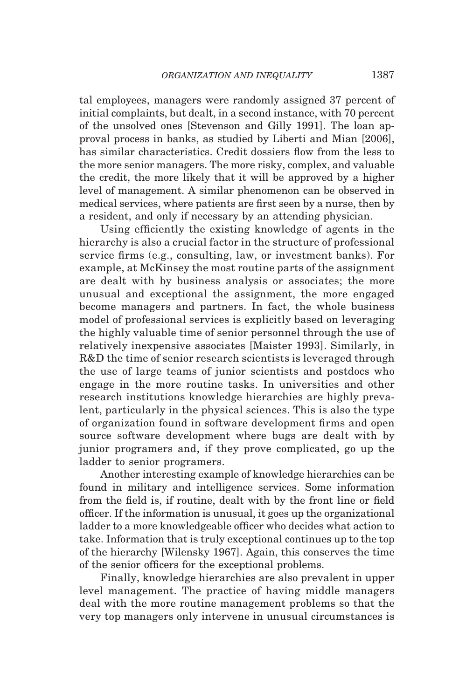tal employees, managers were randomly assigned 37 percent of initial complaints, but dealt, in a second instance, with 70 percent of the unsolved ones [Stevenson and Gilly 1991]. The loan approval process in banks, as studied by Liberti and Mian [2006], has similar characteristics. Credit dossiers flow from the less to the more senior managers. The more risky, complex, and valuable the credit, the more likely that it will be approved by a higher level of management. A similar phenomenon can be observed in medical services, where patients are first seen by a nurse, then by a resident, and only if necessary by an attending physician.

Using efficiently the existing knowledge of agents in the hierarchy is also a crucial factor in the structure of professional service firms (e.g., consulting, law, or investment banks). For example, at McKinsey the most routine parts of the assignment are dealt with by business analysis or associates; the more unusual and exceptional the assignment, the more engaged become managers and partners. In fact, the whole business model of professional services is explicitly based on leveraging the highly valuable time of senior personnel through the use of relatively inexpensive associates [Maister 1993]. Similarly, in R&D the time of senior research scientists is leveraged through the use of large teams of junior scientists and postdocs who engage in the more routine tasks. In universities and other research institutions knowledge hierarchies are highly prevalent, particularly in the physical sciences. This is also the type of organization found in software development firms and open source software development where bugs are dealt with by junior programers and, if they prove complicated, go up the ladder to senior programers.

Another interesting example of knowledge hierarchies can be found in military and intelligence services. Some information from the field is, if routine, dealt with by the front line or field officer. If the information is unusual, it goes up the organizational ladder to a more knowledgeable officer who decides what action to take. Information that is truly exceptional continues up to the top of the hierarchy [Wilensky 1967]. Again, this conserves the time of the senior officers for the exceptional problems.

Finally, knowledge hierarchies are also prevalent in upper level management. The practice of having middle managers deal with the more routine management problems so that the very top managers only intervene in unusual circumstances is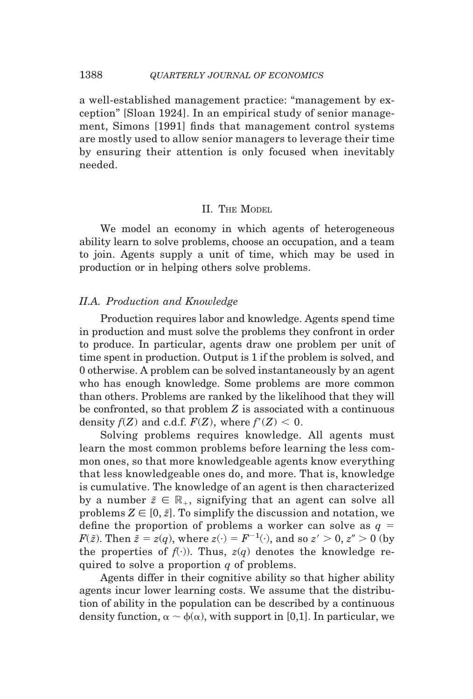a well-established management practice: "management by exception" [Sloan 1924]. In an empirical study of senior management, Simons [1991] finds that management control systems are mostly used to allow senior managers to leverage their time by ensuring their attention is only focused when inevitably needed.

### II. THE MODEL

We model an economy in which agents of heterogeneous ability learn to solve problems, choose an occupation, and a team to join. Agents supply a unit of time, which may be used in production or in helping others solve problems.

# *II.A. Production and Knowledge*

Production requires labor and knowledge. Agents spend time in production and must solve the problems they confront in order to produce. In particular, agents draw one problem per unit of time spent in production. Output is 1 if the problem is solved, and 0 otherwise. A problem can be solved instantaneously by an agent who has enough knowledge. Some problems are more common than others. Problems are ranked by the likelihood that they will be confronted, so that problem *Z* is associated with a continuous density  $f(Z)$  and c.d.f.  $F(Z)$ , where  $f'(Z) < 0$ .

Solving problems requires knowledge. All agents must learn the most common problems before learning the less common ones, so that more knowledgeable agents know everything that less knowledgeable ones do, and more. That is, knowledge is cumulative. The knowledge of an agent is then characterized by a number  $\tilde{z} \in \mathbb{R}_+$ , signifying that an agent can solve all problems  $Z \in [0, \tilde{z}]$ . To simplify the discussion and notation, we define the proportion of problems a worker can solve as  $q =$ *F*( $\tilde{z}$ ). Then  $\tilde{z} = z(q)$ , where  $z(\cdot) = F^{-1}(\cdot)$ , and so  $z' > 0$ ,  $z'' > 0$  (by the properties of  $f(.)$ . Thus,  $z(q)$  denotes the knowledge required to solve a proportion *q* of problems.

Agents differ in their cognitive ability so that higher ability agents incur lower learning costs. We assume that the distribution of ability in the population can be described by a continuous density function,  $\alpha \sim \phi(\alpha)$ , with support in [0,1]. In particular, we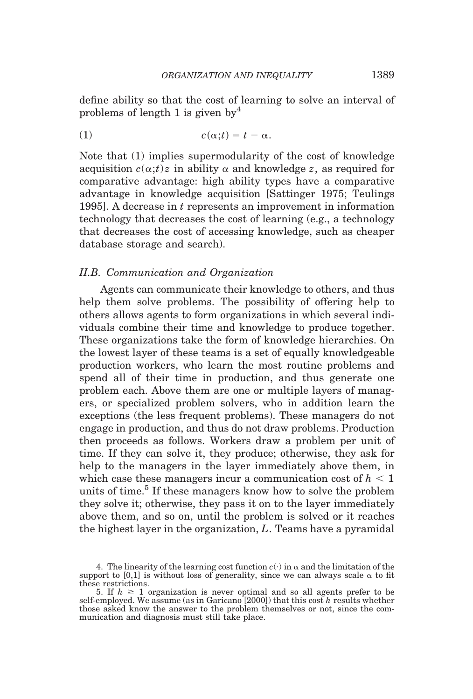define ability so that the cost of learning to solve an interval of problems of length 1 is given by  $4$ 

(1) 
$$
c(\alpha;t) = t - \alpha.
$$

Note that (1) implies supermodularity of the cost of knowledge acquisition  $c(\alpha;t)z$  in ability  $\alpha$  and knowledge *z*, as required for comparative advantage: high ability types have a comparative advantage in knowledge acquisition [Sattinger 1975; Teulings 1995]. A decrease in *t* represents an improvement in information technology that decreases the cost of learning (e.g., a technology that decreases the cost of accessing knowledge, such as cheaper database storage and search).

#### *II.B. Communication and Organization*

Agents can communicate their knowledge to others, and thus help them solve problems. The possibility of offering help to others allows agents to form organizations in which several individuals combine their time and knowledge to produce together. These organizations take the form of knowledge hierarchies. On the lowest layer of these teams is a set of equally knowledgeable production workers, who learn the most routine problems and spend all of their time in production, and thus generate one problem each. Above them are one or multiple layers of managers, or specialized problem solvers, who in addition learn the exceptions (the less frequent problems). These managers do not engage in production, and thus do not draw problems. Production then proceeds as follows. Workers draw a problem per unit of time. If they can solve it, they produce; otherwise, they ask for help to the managers in the layer immediately above them, in which case these managers incur a communication cost of  $h < 1$ units of time.<sup>5</sup> If these managers know how to solve the problem they solve it; otherwise, they pass it on to the layer immediately above them, and so on, until the problem is solved or it reaches the highest layer in the organization, *L*. Teams have a pyramidal

<sup>4.</sup> The linearity of the learning cost function  $c(\cdot)$  in  $\alpha$  and the limitation of the support to [0,1] is without loss of generality, since we can always scale  $\alpha$  to fit these restrictions.

<sup>5.</sup> If  $h \geq 1$  organization is never optimal and so all agents prefer to be self-employed. We assume (as in Garicano [2000]) that this cost *h* results whether those asked know the answer to the problem themselves or not, since the communication and diagnosis must still take place.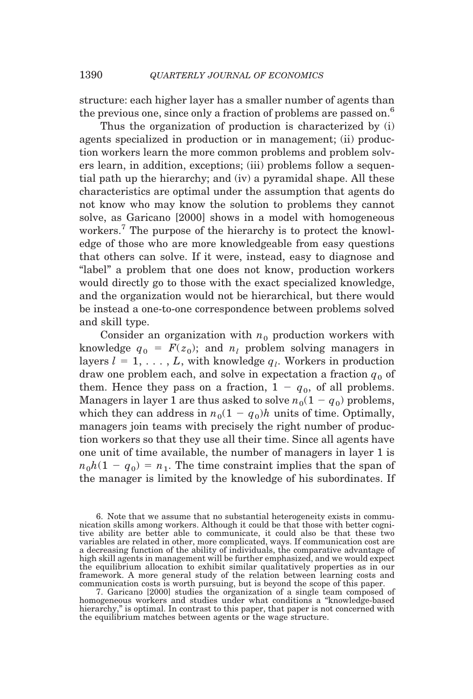structure: each higher layer has a smaller number of agents than the previous one, since only a fraction of problems are passed on.<sup>6</sup>

Thus the organization of production is characterized by (i) agents specialized in production or in management; (ii) production workers learn the more common problems and problem solvers learn, in addition, exceptions; (iii) problems follow a sequential path up the hierarchy; and (iv) a pyramidal shape. All these characteristics are optimal under the assumption that agents do not know who may know the solution to problems they cannot solve, as Garicano [2000] shows in a model with homogeneous workers.<sup>7</sup> The purpose of the hierarchy is to protect the knowledge of those who are more knowledgeable from easy questions that others can solve. If it were, instead, easy to diagnose and "label" a problem that one does not know, production workers would directly go to those with the exact specialized knowledge, and the organization would not be hierarchical, but there would be instead a one-to-one correspondence between problems solved and skill type.

Consider an organization with  $n_0$  production workers with knowledge  $q_0 = F(z_0)$ ; and  $n_l$  problem solving managers in layers  $l = 1, \ldots, L$ , with knowledge  $q_l$ . Workers in production draw one problem each, and solve in expectation a fraction  $q_0$  of them. Hence they pass on a fraction,  $1 - q_0$ , of all problems. Managers in layer 1 are thus asked to solve  $n_0(1 - q_0)$  problems, which they can address in  $n_0(1 - q_0)h$  units of time. Optimally, managers join teams with precisely the right number of production workers so that they use all their time. Since all agents have one unit of time available, the number of managers in layer 1 is  $n_0h(1 - q_0) = n_1$ . The time constraint implies that the span of the manager is limited by the knowledge of his subordinates. If

7. Garicano [2000] studies the organization of a single team composed of homogeneous workers and studies under what conditions a "knowledge-based hierarchy," is optimal. In contrast to this paper, that paper is not concerned with the equilibrium matches between agents or the wage structure.

<sup>6.</sup> Note that we assume that no substantial heterogeneity exists in communication skills among workers. Although it could be that those with better cognitive ability are better able to communicate, it could also be that these two variables are related in other, more complicated, ways. If communication cost are a decreasing function of the ability of individuals, the comparative advantage of high skill agents in management will be further emphasized, and we would expect the equilibrium allocation to exhibit similar qualitatively properties as in our framework. A more general study of the relation between learning costs and communication costs is worth pursuing, but is beyond the scope of this paper.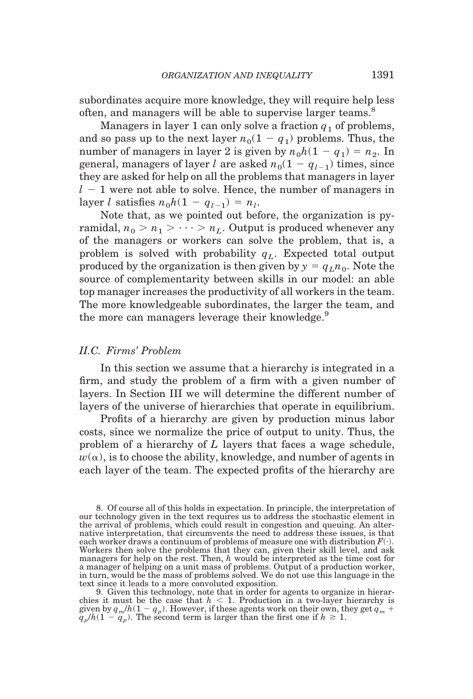subordinates acquire more knowledge, they will require help less often, and managers will be able to supervise larger teams.<sup>8</sup>

Managers in layer 1 can only solve a fraction  $q_1$  of problems, and so pass up to the next layer  $n_0(1 - q_1)$  problems. Thus, the number of managers in layer 2 is given by  $n_0h(1 - q_1) = n_2$ . In general, managers of layer *l* are asked  $n_0(1 - q_{l-1})$  times, since they are asked for help on all the problems that managers in layer  $l - 1$  were not able to solve. Hence, the number of managers in layer *l* satisfies  $n_0 h(1 - q_{l-1}) = n_l$ .

Note that, as we pointed out before, the organization is pyramidal,  $n_0 > n_1 > \cdots > n_L$ . Output is produced whenever any of the managers or workers can solve the problem, that is, a problem is solved with probability  $q_L$ . Expected total output produced by the organization is then given by  $y = q_L n_0$ . Note the source of complementarity between skills in our model: an able top manager increases the productivity of all workers in the team. The more knowledgeable subordinates, the larger the team, and the more can managers leverage their knowledge.<sup>9</sup>

# *II.C. Firms' Problem*

In this section we assume that a hierarchy is integrated in a firm, and study the problem of a firm with a given number of layers. In Section III we will determine the different number of layers of the universe of hierarchies that operate in equilibrium.

Profits of a hierarchy are given by production minus labor costs, since we normalize the price of output to unity. Thus, the problem of a hierarchy of *L* layers that faces a wage schedule,  $w(\alpha)$ , is to choose the ability, knowledge, and number of agents in each layer of the team. The expected profits of the hierarchy are

<sup>8.</sup> Of course all of this holds in expectation. In principle, the interpretation of our technology given in the text requires us to address the stochastic element in the arrival of problems, which could result in congestion and queuing. An alternative interpretation, that circumvents the need to address these issues, is that each worker draws a continuum of problems of measure one with distribution  $F(\cdot)$ . Workers then solve the problems that they can, given their skill level, and ask managers for help on the rest. Then, *h* would be interpreted as the time cost for a manager of helping on a unit mass of problems. Output of a production worker, in turn, would be the mass of problems solved. We do not use this language in the text since it leads to a more convoluted exposition.

<sup>9.</sup> Given this technology, note that in order for agents to organize in hierarchies it must be the case that  $h < 1$ . Production in a two-layer hierarchy is given by  $q_m/h(1 - q_p)$ . However, if these agents work on their own, they get  $q_m$  +  $q_p/h(1 - q_p)$ . The second term is larger than the first one if  $h \ge 1$ .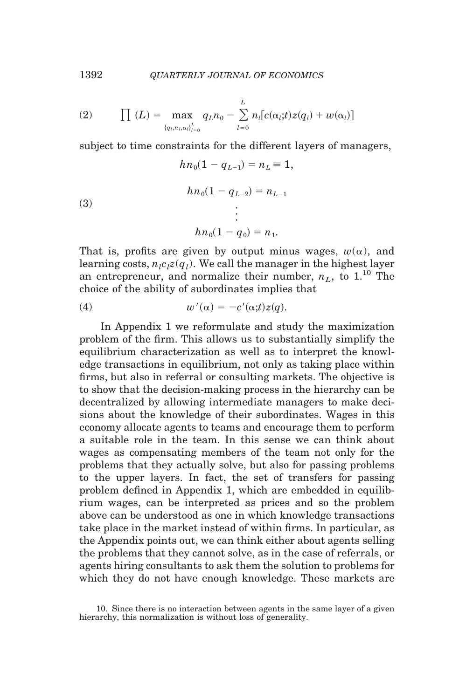(2) 
$$
\prod (L) = \max_{\{q_{l}, n_{l}, \alpha_{l}\}_{l=0}^{L}} q_{L}n_{0} - \sum_{l=0}^{L} n_{l}[c(\alpha_{l};t)z(q_{l}) + w(\alpha_{l})]
$$

subject to time constraints for the different layers of managers,

$$
hn_0(1 - q_{L-1}) = n_L \equiv 1,
$$

 $hn_0(1 - q_{L-2}) = n_{L-1}$ 

(3)

$$
\vdots
$$
  

$$
hn_0(1-q_0) = n_1.
$$

That is, profits are given by output minus wages,  $w(\alpha)$ , and learning costs,  $n_{i}c_{i}z(q_{i})$ . We call the manager in the highest layer an entrepreneur, and normalize their number,  $n_L$ , to  $1^{10}$  The choice of the ability of subordinates implies that

(4) 
$$
w'(\alpha) = -c'(\alpha; t)z(q).
$$

In Appendix 1 we reformulate and study the maximization problem of the firm. This allows us to substantially simplify the equilibrium characterization as well as to interpret the knowledge transactions in equilibrium, not only as taking place within firms, but also in referral or consulting markets. The objective is to show that the decision-making process in the hierarchy can be decentralized by allowing intermediate managers to make decisions about the knowledge of their subordinates. Wages in this economy allocate agents to teams and encourage them to perform a suitable role in the team. In this sense we can think about wages as compensating members of the team not only for the problems that they actually solve, but also for passing problems to the upper layers. In fact, the set of transfers for passing problem defined in Appendix 1, which are embedded in equilibrium wages, can be interpreted as prices and so the problem above can be understood as one in which knowledge transactions take place in the market instead of within firms. In particular, as the Appendix points out, we can think either about agents selling the problems that they cannot solve, as in the case of referrals, or agents hiring consultants to ask them the solution to problems for which they do not have enough knowledge. These markets are

<sup>10.</sup> Since there is no interaction between agents in the same layer of a given hierarchy, this normalization is without loss of generality.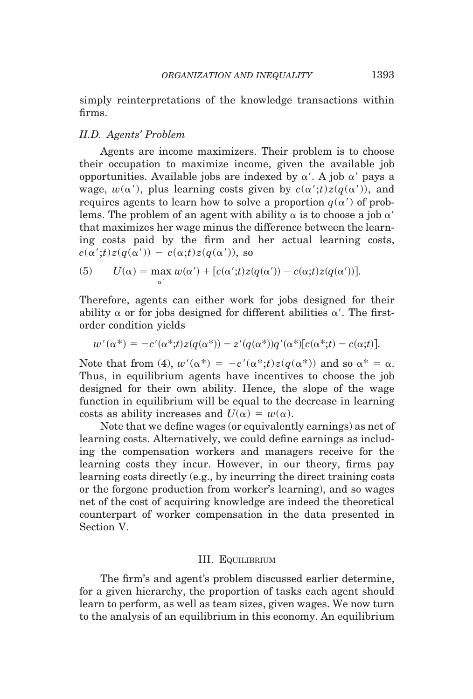simply reinterpretations of the knowledge transactions within firms.

### *II.D. Agents' Problem*

Agents are income maximizers. Their problem is to choose their occupation to maximize income, given the available job opportunities. Available jobs are indexed by  $\alpha'$ . A job  $\alpha'$  pays a wage,  $w(\alpha')$ , plus learning costs given by  $c(\alpha';t)z(q(\alpha'))$ , and requires agents to learn how to solve a proportion  $q(\alpha')$  of problems. The problem of an agent with ability  $\alpha$  is to choose a job  $\alpha'$ that maximizes her wage minus the difference between the learning costs paid by the firm and her actual learning costs,  $c(\alpha';t)z(q(\alpha')) - c(\alpha;t)z(q(\alpha'))$ , so

(5) 
$$
U(\alpha) = \max_{\alpha'} w(\alpha') + [c(\alpha';t)z(q(\alpha')) - c(\alpha;t)z(q(\alpha'))].
$$

Therefore, agents can either work for jobs designed for their ability  $\alpha$  or for jobs designed for different abilities  $\alpha'$ . The firstorder condition yields

$$
w'(\alpha^*) = -c'(\alpha^*;t)z(q(\alpha^*)) - z'(q(\alpha^*))q'(\alpha^*)[c(\alpha^*;t) - c(\alpha;t)].
$$

Note that from (4),  $w'(\alpha^*) = -c'(\alpha^*;t) z(q(\alpha^*))$  and so  $\alpha^* = \alpha$ . Thus, in equilibrium agents have incentives to choose the job designed for their own ability. Hence, the slope of the wage function in equilibrium will be equal to the decrease in learning costs as ability increases and  $U(\alpha) = w(\alpha)$ .

Note that we define wages (or equivalently earnings) as net of learning costs. Alternatively, we could define earnings as including the compensation workers and managers receive for the learning costs they incur. However, in our theory, firms pay learning costs directly (e.g., by incurring the direct training costs or the forgone production from worker's learning), and so wages net of the cost of acquiring knowledge are indeed the theoretical counterpart of worker compensation in the data presented in Section V.

### III. EQUILIBRIUM

The firm's and agent's problem discussed earlier determine, for a given hierarchy, the proportion of tasks each agent should learn to perform, as well as team sizes, given wages. We now turn to the analysis of an equilibrium in this economy. An equilibrium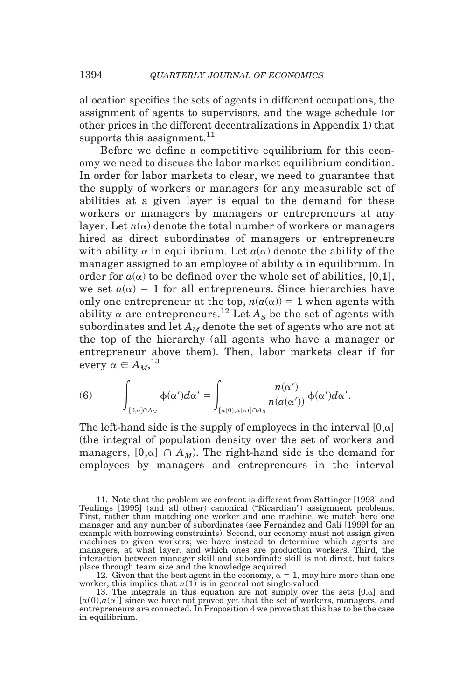allocation specifies the sets of agents in different occupations, the assignment of agents to supervisors, and the wage schedule (or other prices in the different decentralizations in Appendix 1) that supports this assignment. $11$ 

Before we define a competitive equilibrium for this economy we need to discuss the labor market equilibrium condition. In order for labor markets to clear, we need to guarantee that the supply of workers or managers for any measurable set of abilities at a given layer is equal to the demand for these workers or managers by managers or entrepreneurs at any layer. Let  $n(\alpha)$  denote the total number of workers or managers hired as direct subordinates of managers or entrepreneurs with ability  $\alpha$  in equilibrium. Let  $a(\alpha)$  denote the ability of the manager assigned to an employee of ability  $\alpha$  in equilibrium. In order for  $a(\alpha)$  to be defined over the whole set of abilities, [0,1], we set  $a(\alpha) = 1$  for all entrepreneurs. Since hierarchies have only one entrepreneur at the top,  $n(a(\alpha)) = 1$  when agents with ability  $\alpha$  are entrepreneurs.<sup>12</sup> Let  $A_S$  be the set of agents with subordinates and let  $A_M$  denote the set of agents who are not at the top of the hierarchy (all agents who have a manager or entrepreneur above them). Then, labor markets clear if for every  $\alpha \in A_{M}$ , <sup>13</sup>

(6) 
$$
\int_{[0,\alpha]\cap A_M} \phi(\alpha')d\alpha' = \int_{[a(0),a(\alpha)]\cap A_S} \frac{n(\alpha')}{n(a(\alpha'))} \phi(\alpha')d\alpha'.
$$

The left-hand side is the supply of employees in the interval  $[0,\alpha]$ (the integral of population density over the set of workers and managers,  $[0,\alpha] \cap A_M$ ). The right-hand side is the demand for employees by managers and entrepreneurs in the interval

12. Given that the best agent in the economy,  $\alpha = 1$ , may hire more than one worker, this implies that  $n(1)$  is in general not single-valued.

13. The integrals in this equation are not simply over the sets  $[0,\alpha]$  and  $[a(0),a(\alpha)]$  since we have not proved yet that the set of workers, managers, and entrepreneurs are connected. In Proposition 4 we prove that this has to be the case in equilibrium.

<sup>11.</sup> Note that the problem we confront is different from Sattinger [1993] and Teulings [1995] (and all other) canonical ("Ricardian") assignment problems. First, rather than matching one worker and one machine, we match here one manager and any number of subordinates (see Fernández and Galí [1999] for an example with borrowing constraints). Second, our economy must not assign given machines to given workers; we have instead to determine which agents are managers, at what layer, and which ones are production workers. Third, the interaction between manager skill and subordinate skill is not direct, but takes place through team size and the knowledge acquired.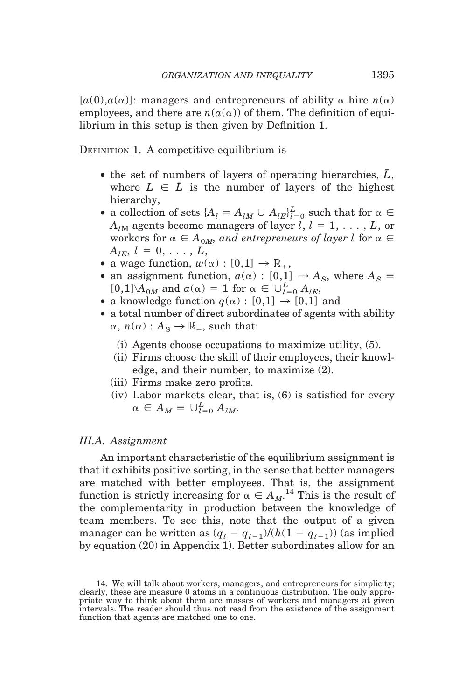$[a(0),a(\alpha)]$ : managers and entrepreneurs of ability  $\alpha$  hire  $n(\alpha)$ employees, and there are  $n(a(\alpha))$  of them. The definition of equilibrium in this setup is then given by Definition 1.

DEFINITION 1. A competitive equilibrium is

- $\bullet$  the set of numbers of layers of operating hierarchies,  $\bar{L}$ , where  $L \in \overline{L}$  is the number of layers of the highest hierarchy,
- a collection of sets  ${A_l = A_{lM} \cup A_{lE}}_{l=0}^{L}$  such that for  $\alpha \in$  $A_{lM}$  agents become managers of layer *l*,  $l = 1, \ldots, L$ , or workers for  $\alpha \in A_{0M}$ , and entrepreneurs of layer l for  $\alpha \in A_{0M}$  $A_{lE}$ ,  $l = 0, \ldots, L$ ,
- a wage function,  $w(\alpha) : [0,1] \to \mathbb{R}_+$ ,
- an assignment function,  $a(\alpha) : [0,1] \rightarrow A_S$ , where  $A_S \equiv$  $[0,1]\backslash A_{0M}$  and  $a(\alpha) = 1$  for  $\alpha \in \bigcup_{l=0}^{L} A_{lE}$ ,
- a knowledge function  $q(\alpha) : [0,1] \rightarrow [0,1]$  and
- a total number of direct subordinates of agents with ability  $\alpha$ ,  $n(\alpha)$  :  $A_S \rightarrow \mathbb{R}_+$ , such that:
	- (i) Agents choose occupations to maximize utility, (5).
	- (ii) Firms choose the skill of their employees, their knowledge, and their number, to maximize (2).
	- (iii) Firms make zero profits.
	- (iv) Labor markets clear, that is, (6) is satisfied for every  $\alpha \in A_M \equiv \bigcup_{l=0}^L A_{lM}.$

#### *III.A. Assignment*

An important characteristic of the equilibrium assignment is that it exhibits positive sorting, in the sense that better managers are matched with better employees. That is, the assignment function is strictly increasing for  $\alpha \in A_{M}$ .<sup>14</sup> This is the result of the complementarity in production between the knowledge of team members. To see this, note that the output of a given manager can be written as  $(q_l - q_{l-1})/(h(1 - q_{l-1}))$  (as implied by equation (20) in Appendix 1). Better subordinates allow for an

<sup>14.</sup> We will talk about workers, managers, and entrepreneurs for simplicity; clearly, these are measure 0 atoms in a continuous distribution. The only appropriate way to think about them are masses of workers and managers at given intervals. The reader should thus not read from the existence of the assignment function that agents are matched one to one.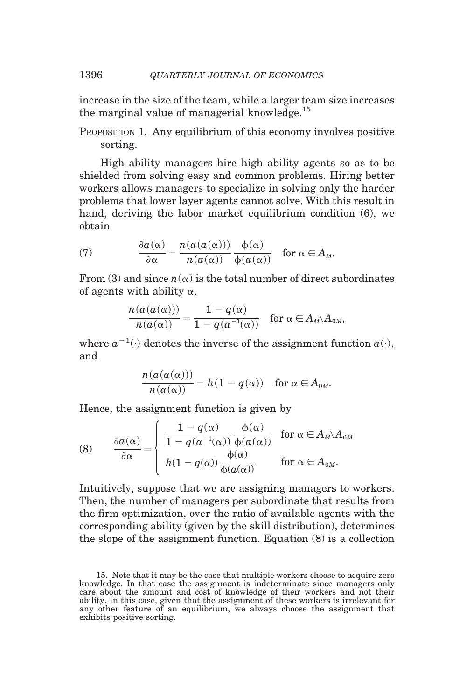increase in the size of the team, while a larger team size increases the marginal value of managerial knowledge.15

PROPOSITION 1. Any equilibrium of this economy involves positive sorting.

High ability managers hire high ability agents so as to be shielded from solving easy and common problems. Hiring better workers allows managers to specialize in solving only the harder problems that lower layer agents cannot solve. With this result in hand, deriving the labor market equilibrium condition (6), we obtain

(7) 
$$
\frac{\partial a(\alpha)}{\partial \alpha} = \frac{n(a(a(\alpha)))}{n(a(\alpha))} \frac{\phi(\alpha)}{\phi(a(\alpha))} \text{ for } \alpha \in A_M.
$$

From (3) and since  $n(\alpha)$  is the total number of direct subordinates of agents with ability  $\alpha$ ,

$$
\frac{n(a(\alpha(\alpha)))}{n(a(\alpha))} = \frac{1 - q(\alpha)}{1 - q(a^{-1}(\alpha))} \text{ for } \alpha \in A_M \setminus A_{0M},
$$

where  $a^{-1}(\cdot)$  denotes the inverse of the assignment function  $a(\cdot)$ , and

$$
\frac{n(a(\alpha(\alpha)))}{n(a(\alpha))} = h(1 - q(\alpha)) \text{ for } \alpha \in A_{0M}.
$$

Hence, the assignment function is given by

(8) 
$$
\frac{\partial a(\alpha)}{\partial \alpha} = \begin{cases} \frac{1 - q(\alpha)}{1 - q(a^{-1}(\alpha))} \frac{\phi(\alpha)}{\phi(a(\alpha))} & \text{for } \alpha \in A_M \setminus A_{0M} \\ h(1 - q(\alpha)) \frac{\phi(\alpha)}{\phi(a(\alpha))} & \text{for } \alpha \in A_{0M}. \end{cases}
$$

Intuitively, suppose that we are assigning managers to workers. Then, the number of managers per subordinate that results from the firm optimization, over the ratio of available agents with the corresponding ability (given by the skill distribution), determines the slope of the assignment function. Equation (8) is a collection

<sup>15.</sup> Note that it may be the case that multiple workers choose to acquire zero knowledge. In that case the assignment is indeterminate since managers only care about the amount and cost of knowledge of their workers and not their ability. In this case, given that the assignment of these workers is irrelevant for any other feature of an equilibrium, we always choose the assignment that exhibits positive sorting.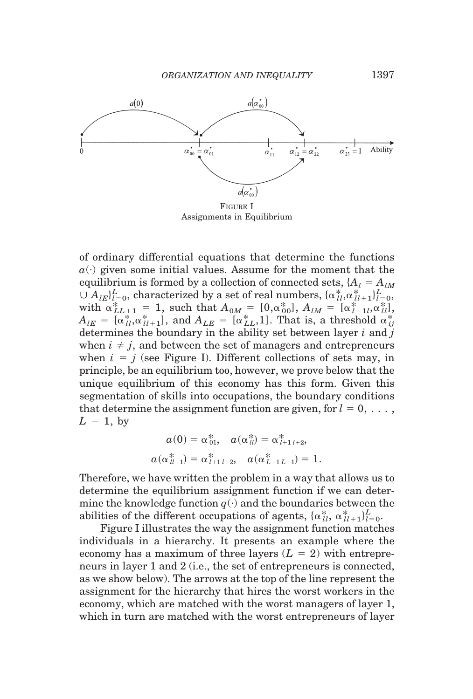

of ordinary differential equations that determine the functions  $a(\cdot)$  given some initial values. Assume for the moment that the equilibrium is formed by a collection of connected sets,  ${A<sub>l</sub>} = A<sub>lM</sub>$  $\cup$   $A_{lE}$  $\}_{l=0}^{L}$ , characterized by a set of real numbers,  $\{\alpha_{ll}^{*}, \alpha_{ll+1}^{*}\}_{l=0}^{L}$ with  $\alpha_{LL+1}^* = 1$ , such that  $A_{0M} = [0, \alpha_{00}^*], A_{lM} = [\alpha_{l-1l}^*, \alpha_{lll}^*],$  $A_{lE} = [\alpha^*_{ll}, \alpha^*_{ll+1}], \text{ and } A_{LE} = [\alpha^*_{LL}, 1]. \text{ That is, a threshold } \alpha^*_{ij}$ determines the boundary in the ability set between layer *i* and *j* when  $i \neq j$ , and between the set of managers and entrepreneurs when  $i = j$  (see Figure I). Different collections of sets may, in principle, be an equilibrium too, however, we prove below that the unique equilibrium of this economy has this form. Given this segmentation of skills into occupations, the boundary conditions that determine the assignment function are given, for  $l = 0, \ldots$ ,  $L - 1$ , by

$$
\begin{aligned} a(0) &= \alpha_{01}^*, \quad a(\alpha_{ll}^*) = \alpha_{l+1~l+2}^*, \\ a(\alpha_{ll+1}^*) &= \alpha_{l+1~l+2}^*, \quad a(\alpha_{L-1~L-1}^*) = 1. \end{aligned}
$$

Therefore, we have written the problem in a way that allows us to determine the equilibrium assignment function if we can determine the knowledge function  $q(\cdot)$  and the boundaries between the abilities of the different occupations of agents,  $\{\alpha_{ll}^*, \alpha_{ll+1}^*\}_{l=0}^L$ .

Figure I illustrates the way the assignment function matches individuals in a hierarchy. It presents an example where the economy has a maximum of three layers  $(L = 2)$  with entrepreneurs in layer 1 and 2 (i.e., the set of entrepreneurs is connected, as we show below). The arrows at the top of the line represent the assignment for the hierarchy that hires the worst workers in the economy, which are matched with the worst managers of layer 1, which in turn are matched with the worst entrepreneurs of layer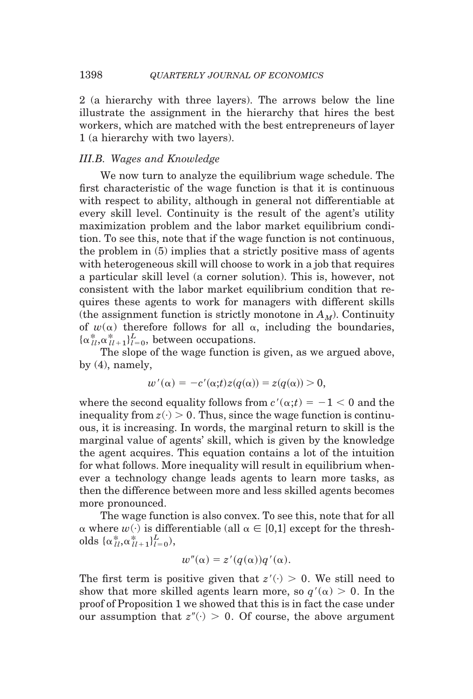2 (a hierarchy with three layers). The arrows below the line illustrate the assignment in the hierarchy that hires the best workers, which are matched with the best entrepreneurs of layer 1 (a hierarchy with two layers).

# *III.B. Wages and Knowledge*

We now turn to analyze the equilibrium wage schedule. The first characteristic of the wage function is that it is continuous with respect to ability, although in general not differentiable at every skill level. Continuity is the result of the agent's utility maximization problem and the labor market equilibrium condition. To see this, note that if the wage function is not continuous, the problem in (5) implies that a strictly positive mass of agents with heterogeneous skill will choose to work in a job that requires a particular skill level (a corner solution). This is, however, not consistent with the labor market equilibrium condition that requires these agents to work for managers with different skills (the assignment function is strictly monotone in  $A_M$ ). Continuity of  $w(\alpha)$  therefore follows for all  $\alpha$ , including the boundaries,  $\{\alpha_{ll}^*, \alpha_{ll+1}^*\}_{l=0}^L$ , between occupations.

The slope of the wage function is given, as we argued above, by (4), namely,

$$
w'(\alpha) = -c'(\alpha;t)z(q(\alpha)) = z(q(\alpha)) > 0,
$$

where the second equality follows from  $c'(\alpha;t) = -1 < 0$  and the inequality from  $z(·) > 0$ . Thus, since the wage function is continuous, it is increasing. In words, the marginal return to skill is the marginal value of agents' skill, which is given by the knowledge the agent acquires. This equation contains a lot of the intuition for what follows. More inequality will result in equilibrium whenever a technology change leads agents to learn more tasks, as then the difference between more and less skilled agents becomes more pronounced.

The wage function is also convex. To see this, note that for all  $\alpha$  where  $w(\cdot)$  is differentiable (all  $\alpha \in [0,1]$  except for the thresholds  $\{\alpha_{ll}^*, \alpha_{ll+1}^*\}_{l=0}^L$ ),

$$
w''(\alpha) = z'(q(\alpha))q'(\alpha).
$$

The first term is positive given that  $z'(\cdot) > 0$ . We still need to show that more skilled agents learn more, so  $q'(\alpha) > 0$ . In the proof of Proposition 1 we showed that this is in fact the case under our assumption that  $z''(.) > 0$ . Of course, the above argument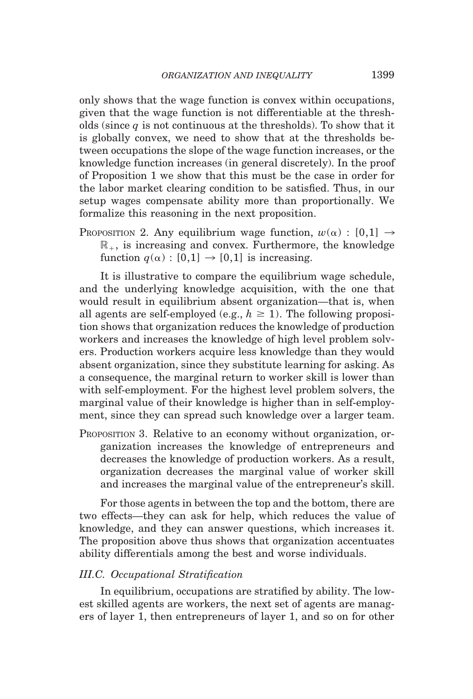only shows that the wage function is convex within occupations, given that the wage function is not differentiable at the thresholds (since  $q$  is not continuous at the thresholds). To show that it is globally convex, we need to show that at the thresholds between occupations the slope of the wage function increases, or the knowledge function increases (in general discretely). In the proof of Proposition 1 we show that this must be the case in order for the labor market clearing condition to be satisfied. Thus, in our setup wages compensate ability more than proportionally. We formalize this reasoning in the next proposition.

PROPOSITION 2. Any equilibrium wage function,  $w(\alpha) : [0,1] \rightarrow$  $\mathbb{R}_+$ , is increasing and convex. Furthermore, the knowledge function  $q(\alpha) : [0,1] \rightarrow [0,1]$  is increasing.

It is illustrative to compare the equilibrium wage schedule, and the underlying knowledge acquisition, with the one that would result in equilibrium absent organization—that is, when all agents are self-employed (e.g.,  $h \geq 1$ ). The following proposition shows that organization reduces the knowledge of production workers and increases the knowledge of high level problem solvers. Production workers acquire less knowledge than they would absent organization, since they substitute learning for asking. As a consequence, the marginal return to worker skill is lower than with self-employment. For the highest level problem solvers, the marginal value of their knowledge is higher than in self-employment, since they can spread such knowledge over a larger team.

PROPOSITION 3. Relative to an economy without organization, organization increases the knowledge of entrepreneurs and decreases the knowledge of production workers. As a result, organization decreases the marginal value of worker skill and increases the marginal value of the entrepreneur's skill.

For those agents in between the top and the bottom, there are two effects—they can ask for help, which reduces the value of knowledge, and they can answer questions, which increases it. The proposition above thus shows that organization accentuates ability differentials among the best and worse individuals.

## *III.C. Occupational Stratification*

In equilibrium, occupations are stratified by ability. The lowest skilled agents are workers, the next set of agents are managers of layer 1, then entrepreneurs of layer 1, and so on for other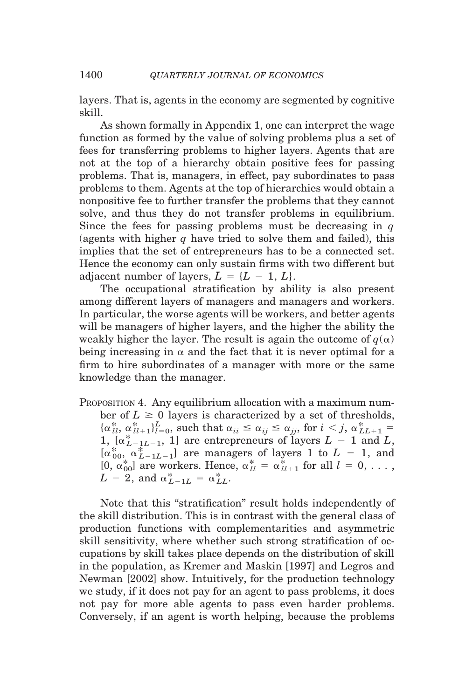layers. That is, agents in the economy are segmented by cognitive skill.

As shown formally in Appendix 1, one can interpret the wage function as formed by the value of solving problems plus a set of fees for transferring problems to higher layers. Agents that are not at the top of a hierarchy obtain positive fees for passing problems. That is, managers, in effect, pay subordinates to pass problems to them. Agents at the top of hierarchies would obtain a nonpositive fee to further transfer the problems that they cannot solve, and thus they do not transfer problems in equilibrium. Since the fees for passing problems must be decreasing in *q* (agents with higher *q* have tried to solve them and failed), this implies that the set of entrepreneurs has to be a connected set. Hence the economy can only sustain firms with two different but adjacent number of layers,  $\bar{L} = \{L - 1, L\}.$ 

The occupational stratification by ability is also present among different layers of managers and managers and workers. In particular, the worse agents will be workers, and better agents will be managers of higher layers, and the higher the ability the weakly higher the layer. The result is again the outcome of  $q(\alpha)$ being increasing in  $\alpha$  and the fact that it is never optimal for a firm to hire subordinates of a manager with more or the same knowledge than the manager.

PROPOSITION 4. Any equilibrium allocation with a maximum number of  $L \geq 0$  layers is characterized by a set of thresholds,  ${\alpha_{il}^*, \alpha_{ll+1}^*}_{l=0}^L$ , such that  $\alpha_{ii} \leq \alpha_{ij} \leq \alpha_{jj}$ , for  $i < j$ ,  $\alpha_{LL+1}^*$ 1,  $[\alpha_{L-1}^*L_{-1}, 1]$  are entrepreneurs of layers  $L-1$  and  $L$ ,  $\lbrack \alpha_{00}^*, \alpha_{L-1L-1}^* \rbrack$  are managers of layers 1 to  $L-1$ , and  $[0, \alpha_{00}^*]$  are workers. Hence,  $\alpha_{ll}^* = \alpha_{ll+1}^*$  for all  $l = 0, \ldots$ ,  $L - 2$ , and  $\alpha_{L-1L}^* = \alpha_{LL}^*$ .

Note that this "stratification" result holds independently of the skill distribution. This is in contrast with the general class of production functions with complementarities and asymmetric skill sensitivity, where whether such strong stratification of occupations by skill takes place depends on the distribution of skill in the population, as Kremer and Maskin [1997] and Legros and Newman [2002] show. Intuitively, for the production technology we study, if it does not pay for an agent to pass problems, it does not pay for more able agents to pass even harder problems. Conversely, if an agent is worth helping, because the problems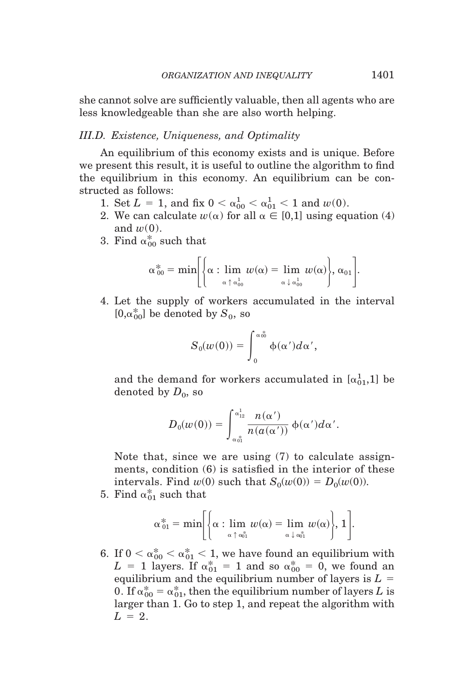she cannot solve are sufficiently valuable, then all agents who are less knowledgeable than she are also worth helping.

## *III.D. Existence, Uniqueness, and Optimality*

An equilibrium of this economy exists and is unique. Before we present this result, it is useful to outline the algorithm to find the equilibrium in this economy. An equilibrium can be constructed as follows:

- 1. Set  $L = 1$ , and fix  $0 < \alpha_{00}^1 < \alpha_{01}^1 < 1$  and  $w(0)$ .
- 2. We can calculate  $w(\alpha)$  for all  $\alpha \in [0,1]$  using equation (4) and  $w(0)$ .
- 3. Find  $\alpha_{00}^*$  such that

$$
\alpha_{00}^* = \min \left[ \left\{ \alpha : \lim_{\alpha \uparrow \alpha_{00}^1} w(\alpha) = \lim_{\alpha \downarrow \alpha_{00}^1} w(\alpha) \right\}, \alpha_{01} \right].
$$

4. Let the supply of workers accumulated in the interval  $[0, \alpha_{00}^*]$  be denoted by  $S_0$ , so

$$
S_0(w(0)) = \int_0^{\alpha_0^*} \phi(\alpha') d\alpha',
$$

and the demand for workers accumulated in  $[\alpha_{01}^1,1]$  be denoted by  $D_0$ , so

$$
D_0(w(0)) = \int_{\alpha_0^*}^{\alpha_{12}^1} \frac{n(\alpha')}{n(a(\alpha'))} \phi(\alpha') d\alpha'.
$$

Note that, since we are using (7) to calculate assignments, condition (6) is satisfied in the interior of these intervals. Find  $w(0)$  such that  $S_0(w(0)) = D_0(w(0))$ .

5. Find  $\alpha_{01}^*$  such that

$$
\alpha_{01}^*=\min\Biggl[\biggl\{\alpha: \lim_{\alpha\uparrow\alpha_{01}^*}w(\alpha)=\lim_{\alpha\downarrow\alpha_{01}^*}w(\alpha)\biggr\},\,1\Biggl].
$$

6. If  $0 < \alpha_{00}^* < \alpha_{01}^* < 1$ , we have found an equilibrium with  $L = 1$  layers. If  $\alpha_{01}^* = 1$  and so  $\alpha_{00}^* = 0$ , we found an equilibrium and the equilibrium number of layers is *L* 0. If  $\alpha_{00}^* = \alpha_{01}^*$ , then the equilibrium number of layers *L* is larger than 1. Go to step 1, and repeat the algorithm with  $L = 2$ .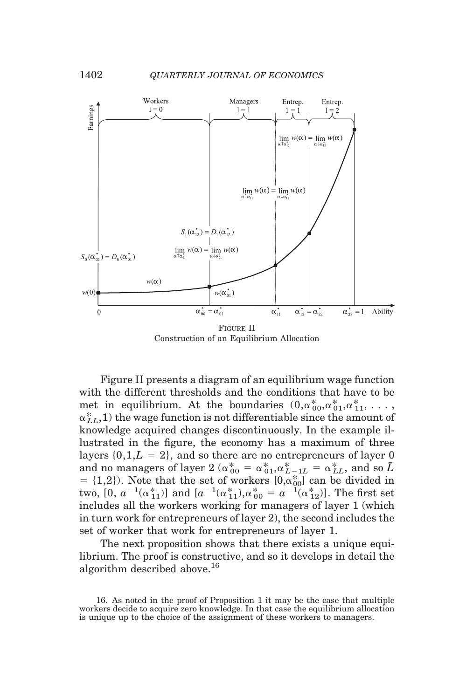

Figure II presents a diagram of an equilibrium wage function with the different thresholds and the conditions that have to be met in equilibrium. At the boundaries  $(0, \alpha_{00}^*, \alpha_{01}^*, \alpha_{11}^*, \ldots,$  $\alpha^*_{LL}$ ,1) the wage function is not differentiable since the amount of knowledge acquired changes discontinuously. In the example illustrated in the figure, the economy has a maximum of three layers  $\{0,1,L = 2\}$ , and so there are no entrepreneurs of layer 0 and no managers of layer 2 ( $\alpha_{00}^* = \alpha_{01}^*, \alpha_{L-1L}^* = \alpha_{LL}^*$ , and so  $\bar{L}$  $= \{1,2\}$ ). Note that the set of workers  $[0, \alpha_{00}^*]$  can be divided in two,  $[0, a^{-1}(\alpha_{11}^*)]$  and  $[a^{-1}(\alpha_{11}^*), \alpha_{00}^* = a^{-1}(\alpha_{12}^*)]$ . The first set includes all the workers working for managers of layer 1 (which in turn work for entrepreneurs of layer 2), the second includes the set of worker that work for entrepreneurs of layer 1.

The next proposition shows that there exists a unique equilibrium. The proof is constructive, and so it develops in detail the algorithm described above.16

<sup>16.</sup> As noted in the proof of Proposition 1 it may be the case that multiple workers decide to acquire zero knowledge. In that case the equilibrium allocation is unique up to the choice of the assignment of these workers to managers.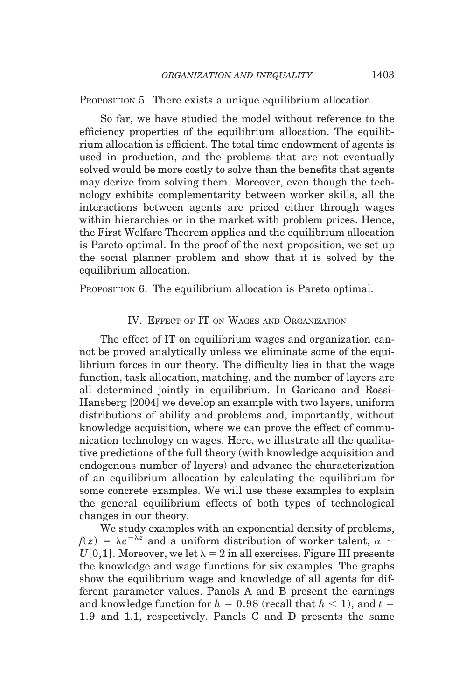PROPOSITION 5. There exists a unique equilibrium allocation.

So far, we have studied the model without reference to the efficiency properties of the equilibrium allocation. The equilibrium allocation is efficient. The total time endowment of agents is used in production, and the problems that are not eventually solved would be more costly to solve than the benefits that agents may derive from solving them. Moreover, even though the technology exhibits complementarity between worker skills, all the interactions between agents are priced either through wages within hierarchies or in the market with problem prices. Hence, the First Welfare Theorem applies and the equilibrium allocation is Pareto optimal. In the proof of the next proposition, we set up the social planner problem and show that it is solved by the equilibrium allocation.

PROPOSITION 6. The equilibrium allocation is Pareto optimal.

# IV. EFFECT OF IT ON WAGES AND ORGANIZATION

The effect of IT on equilibrium wages and organization cannot be proved analytically unless we eliminate some of the equilibrium forces in our theory. The difficulty lies in that the wage function, task allocation, matching, and the number of layers are all determined jointly in equilibrium. In Garicano and Rossi-Hansberg [2004] we develop an example with two layers, uniform distributions of ability and problems and, importantly, without knowledge acquisition, where we can prove the effect of communication technology on wages. Here, we illustrate all the qualitative predictions of the full theory (with knowledge acquisition and endogenous number of layers) and advance the characterization of an equilibrium allocation by calculating the equilibrium for some concrete examples. We will use these examples to explain the general equilibrium effects of both types of technological changes in our theory.

We study examples with an exponential density of problems,  $f(z) = \lambda e^{-\lambda z}$  and a uniform distribution of worker talent,  $\alpha \sim$  $U[0,1]$ . Moreover, we let  $\lambda = 2$  in all exercises. Figure III presents the knowledge and wage functions for six examples. The graphs show the equilibrium wage and knowledge of all agents for different parameter values. Panels A and B present the earnings and knowledge function for  $h = 0.98$  (recall that  $h < 1$ ), and  $t =$ 1.9 and 1.1, respectively. Panels C and D presents the same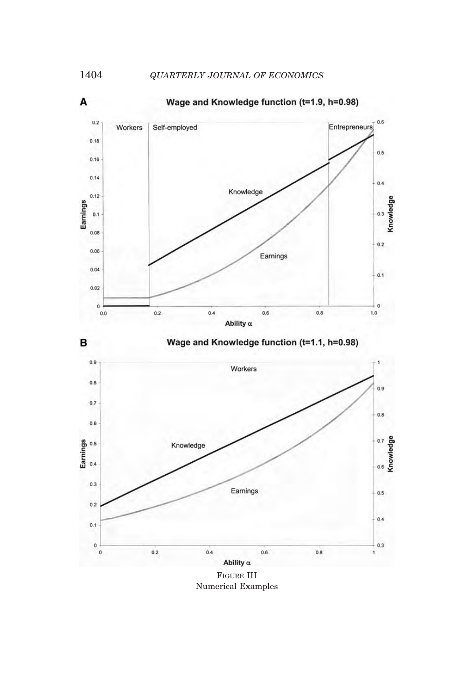

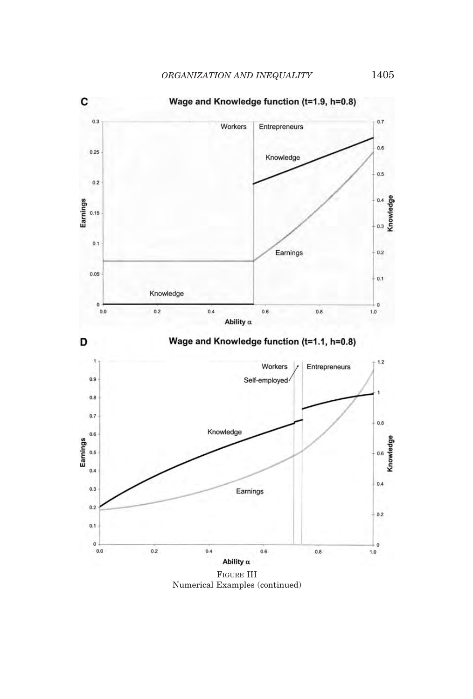

Wage and Knowledge function (t=1.1, h=0.8)



Numerical Examples (continued)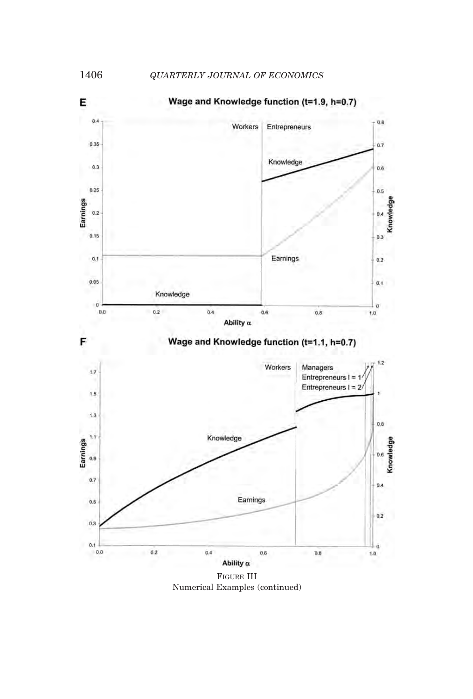

Numerical Examples (continued)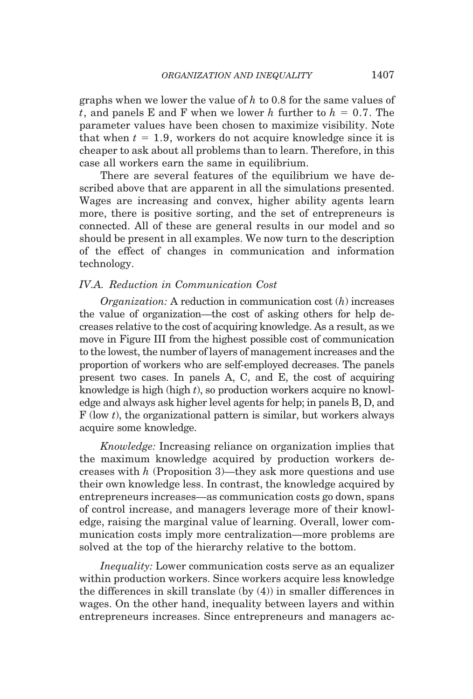graphs when we lower the value of *h* to 0.8 for the same values of *t*, and panels E and F when we lower *h* further to  $h = 0.7$ . The parameter values have been chosen to maximize visibility. Note that when  $t = 1.9$ , workers do not acquire knowledge since it is cheaper to ask about all problems than to learn. Therefore, in this case all workers earn the same in equilibrium.

There are several features of the equilibrium we have described above that are apparent in all the simulations presented. Wages are increasing and convex, higher ability agents learn more, there is positive sorting, and the set of entrepreneurs is connected. All of these are general results in our model and so should be present in all examples. We now turn to the description of the effect of changes in communication and information technology.

# *IV.A. Reduction in Communication Cost*

*Organization:* A reduction in communication cost (*h*) increases the value of organization—the cost of asking others for help decreases relative to the cost of acquiring knowledge. As a result, as we move in Figure III from the highest possible cost of communication to the lowest, the number of layers of management increases and the proportion of workers who are self-employed decreases. The panels present two cases. In panels A, C, and E, the cost of acquiring knowledge is high (high *t*), so production workers acquire no knowledge and always ask higher level agents for help; in panels B, D, and F (low *t*), the organizational pattern is similar, but workers always acquire some knowledge.

*Knowledge:* Increasing reliance on organization implies that the maximum knowledge acquired by production workers decreases with *h* (Proposition 3)—they ask more questions and use their own knowledge less. In contrast, the knowledge acquired by entrepreneurs increases—as communication costs go down, spans of control increase, and managers leverage more of their knowledge, raising the marginal value of learning. Overall, lower communication costs imply more centralization—more problems are solved at the top of the hierarchy relative to the bottom.

*Inequality:* Lower communication costs serve as an equalizer within production workers. Since workers acquire less knowledge the differences in skill translate (by (4)) in smaller differences in wages. On the other hand, inequality between layers and within entrepreneurs increases. Since entrepreneurs and managers ac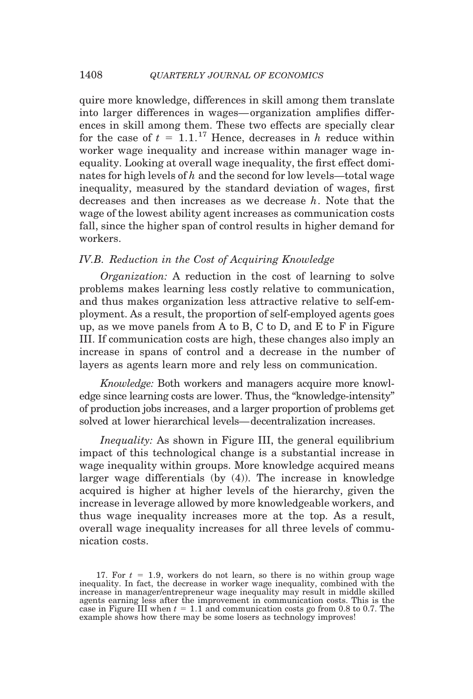quire more knowledge, differences in skill among them translate into larger differences in wages— organization amplifies differences in skill among them. These two effects are specially clear for the case of  $t = 1.1$ .<sup>17</sup> Hence, decreases in *h* reduce within worker wage inequality and increase within manager wage inequality. Looking at overall wage inequality, the first effect dominates for high levels of *h* and the second for low levels—total wage inequality, measured by the standard deviation of wages, first decreases and then increases as we decrease *h*. Note that the wage of the lowest ability agent increases as communication costs fall, since the higher span of control results in higher demand for workers.

## *IV.B. Reduction in the Cost of Acquiring Knowledge*

*Organization:* A reduction in the cost of learning to solve problems makes learning less costly relative to communication, and thus makes organization less attractive relative to self-employment. As a result, the proportion of self-employed agents goes up, as we move panels from A to B, C to D, and E to F in Figure III. If communication costs are high, these changes also imply an increase in spans of control and a decrease in the number of layers as agents learn more and rely less on communication.

*Knowledge:* Both workers and managers acquire more knowledge since learning costs are lower. Thus, the "knowledge-intensity" of production jobs increases, and a larger proportion of problems get solved at lower hierarchical levels—decentralization increases.

*Inequality:* As shown in Figure III, the general equilibrium impact of this technological change is a substantial increase in wage inequality within groups. More knowledge acquired means larger wage differentials (by (4)). The increase in knowledge acquired is higher at higher levels of the hierarchy, given the increase in leverage allowed by more knowledgeable workers, and thus wage inequality increases more at the top. As a result, overall wage inequality increases for all three levels of communication costs.

<sup>17.</sup> For  $t = 1.9$ , workers do not learn, so there is no within group wage inequality. In fact, the decrease in worker wage inequality, combined with the increase in manager/entrepreneur wage inequality may result in middle skilled agents earning less after the improvement in communication costs. This is the case in Figure III when  $t = 1.1$  and communication costs go from 0.8 to 0.7. The example shows how there may be some losers as technology improves!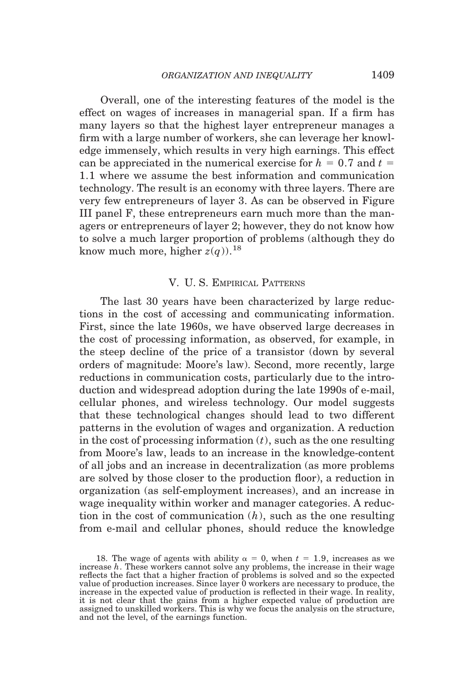Overall, one of the interesting features of the model is the effect on wages of increases in managerial span. If a firm has many layers so that the highest layer entrepreneur manages a firm with a large number of workers, she can leverage her knowledge immensely, which results in very high earnings. This effect can be appreciated in the numerical exercise for  $h = 0.7$  and  $t =$ 1.1 where we assume the best information and communication technology. The result is an economy with three layers. There are very few entrepreneurs of layer 3. As can be observed in Figure III panel F, these entrepreneurs earn much more than the managers or entrepreneurs of layer 2; however, they do not know how to solve a much larger proportion of problems (although they do know much more, higher  $z(q)$ ).<sup>18</sup>

## V. U. S. EMPIRICAL PATTERNS

The last 30 years have been characterized by large reductions in the cost of accessing and communicating information. First, since the late 1960s, we have observed large decreases in the cost of processing information, as observed, for example, in the steep decline of the price of a transistor (down by several orders of magnitude: Moore's law). Second, more recently, large reductions in communication costs, particularly due to the introduction and widespread adoption during the late 1990s of e-mail, cellular phones, and wireless technology. Our model suggests that these technological changes should lead to two different patterns in the evolution of wages and organization. A reduction in the cost of processing information  $(t)$ , such as the one resulting from Moore's law, leads to an increase in the knowledge-content of all jobs and an increase in decentralization (as more problems are solved by those closer to the production floor), a reduction in organization (as self-employment increases), and an increase in wage inequality within worker and manager categories. A reduction in the cost of communication (*h*), such as the one resulting from e-mail and cellular phones, should reduce the knowledge

<sup>18.</sup> The wage of agents with ability  $\alpha = 0$ , when  $t = 1.9$ , increases as we increase *h*. These workers cannot solve any problems, the increase in their wage reflects the fact that a higher fraction of problems is solved and so the expected value of production increases. Since layer 0 workers are necessary to produce, the increase in the expected value of production is reflected in their wage. In reality, it is not clear that the gains from a higher expected value of production are assigned to unskilled workers. This is why we focus the analysis on the structure, and not the level, of the earnings function.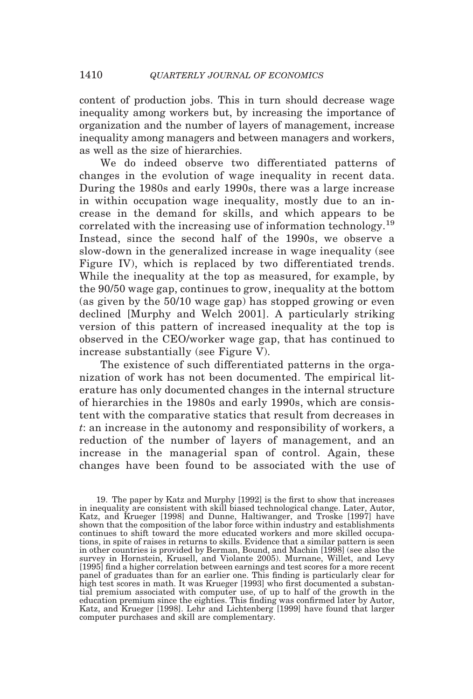content of production jobs. This in turn should decrease wage inequality among workers but, by increasing the importance of organization and the number of layers of management, increase inequality among managers and between managers and workers, as well as the size of hierarchies.

We do indeed observe two differentiated patterns of changes in the evolution of wage inequality in recent data. During the 1980s and early 1990s, there was a large increase in within occupation wage inequality, mostly due to an increase in the demand for skills, and which appears to be correlated with the increasing use of information technology.<sup>19</sup> Instead, since the second half of the 1990s, we observe a slow-down in the generalized increase in wage inequality (see Figure IV), which is replaced by two differentiated trends. While the inequality at the top as measured, for example, by the 90/50 wage gap, continues to grow, inequality at the bottom (as given by the 50/10 wage gap) has stopped growing or even declined [Murphy and Welch 2001]. A particularly striking version of this pattern of increased inequality at the top is observed in the CEO/worker wage gap, that has continued to increase substantially (see Figure V).

The existence of such differentiated patterns in the organization of work has not been documented. The empirical literature has only documented changes in the internal structure of hierarchies in the 1980s and early 1990s, which are consistent with the comparative statics that result from decreases in *t*: an increase in the autonomy and responsibility of workers, a reduction of the number of layers of management, and an increase in the managerial span of control. Again, these changes have been found to be associated with the use of

<sup>19.</sup> The paper by Katz and Murphy [1992] is the first to show that increases in inequality are consistent with skill biased technological change. Later, Autor, Katz, and Krueger [1998] and Dunne, Haltiwanger, and Troske [1997] have shown that the composition of the labor force within industry and establishments continues to shift toward the more educated workers and more skilled occupations, in spite of raises in returns to skills. Evidence that a similar pattern is seen in other countries is provided by Berman, Bound, and Machin [1998] (see also the survey in Hornstein, Krusell, and Violante 2005). Murnane, Willet, and Levy [1995] find a higher correlation between earnings and test scores for a more recent panel of graduates than for an earlier one. This finding is particularly clear for high test scores in math. It was Krueger [1993] who first documented a substantial premium associated with computer use, of up to half of the growth in the education premium since the eighties. This finding was confirmed later by Autor, Katz, and Krueger [1998]. Lehr and Lichtenberg [1999] have found that larger computer purchases and skill are complementary.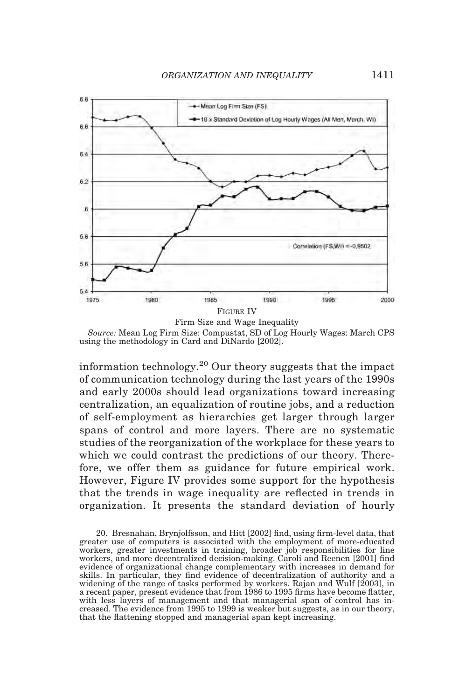

*Source:* Mean Log Firm Size: Compustat, SD of Log Hourly Wages: March CPS using the methodology in Card and DiNardo [2002].

information technology.<sup>20</sup> Our theory suggests that the impact of communication technology during the last years of the 1990s and early 2000s should lead organizations toward increasing centralization, an equalization of routine jobs, and a reduction of self-employment as hierarchies get larger through larger spans of control and more layers. There are no systematic studies of the reorganization of the workplace for these years to which we could contrast the predictions of our theory. Therefore, we offer them as guidance for future empirical work. However, Figure IV provides some support for the hypothesis that the trends in wage inequality are reflected in trends in organization. It presents the standard deviation of hourly

<sup>20.</sup> Bresnahan, Brynjolfsson, and Hitt [2002] find, using firm-level data, that greater use of computers is associated with the employment of more-educated workers, greater investments in training, broader job responsibilities for line workers, and more decentralized decision-making. Caroli and Reenen [2001] find evidence of organizational change complementary with increases in demand for skills. In particular, they find evidence of decentralization of authority and a widening of the range of tasks performed by workers. Rajan and Wulf [2003], in a recent paper, present evidence that from 1986 to 1995 firms have become flatter, with less layers of management and that managerial span of control has increased. The evidence from 1995 to 1999 is weaker but suggests, as in our theory, that the flattening stopped and managerial span kept increasing.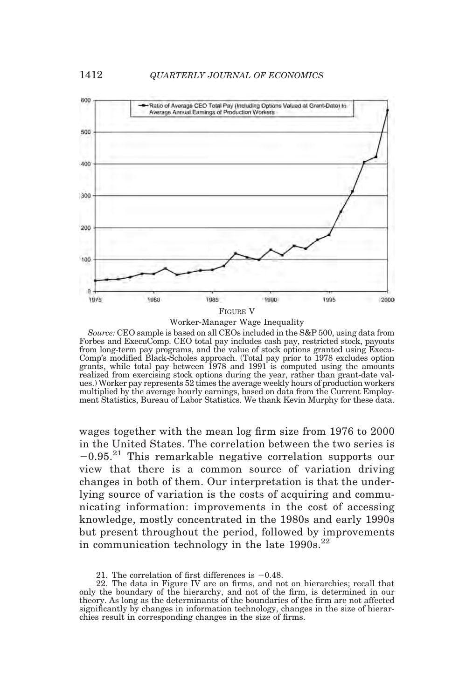

Worker-Manager Wage Inequality

*Source:* CEO sample is based on all CEOs included in the S&P 500, using data from Forbes and ExecuComp. CEO total pay includes cash pay, restricted stock, payouts from long-term pay programs, and the value of stock options granted using Execu-Comp's modified Black-Scholes approach. (Total pay prior to 1978 excludes option grants, while total pay between 1978 and 1991 is computed using the amounts realized from exercising stock options during the year, rather than grant-date values.) Worker pay represents 52 times the average weekly hours of production workers multiplied by the average hourly earnings, based on data from the Current Employment Statistics, Bureau of Labor Statistics. We thank Kevin Murphy for these data.

wages together with the mean log firm size from 1976 to 2000 in the United States. The correlation between the two series is  $-0.95<sup>21</sup>$  This remarkable negative correlation supports our view that there is a common source of variation driving changes in both of them. Our interpretation is that the underlying source of variation is the costs of acquiring and communicating information: improvements in the cost of accessing knowledge, mostly concentrated in the 1980s and early 1990s but present throughout the period, followed by improvements in communication technology in the late  $1990s.<sup>22</sup>$ 

21. The correlation of first differences is  $-0.48$ .

<sup>22.</sup> The data in Figure IV are on firms, and not on hierarchies; recall that only the boundary of the hierarchy, and not of the firm, is determined in our theory. As long as the determinants of the boundaries of the firm are not affected significantly by changes in information technology, changes in the size of hierarchies result in corresponding changes in the size of firms.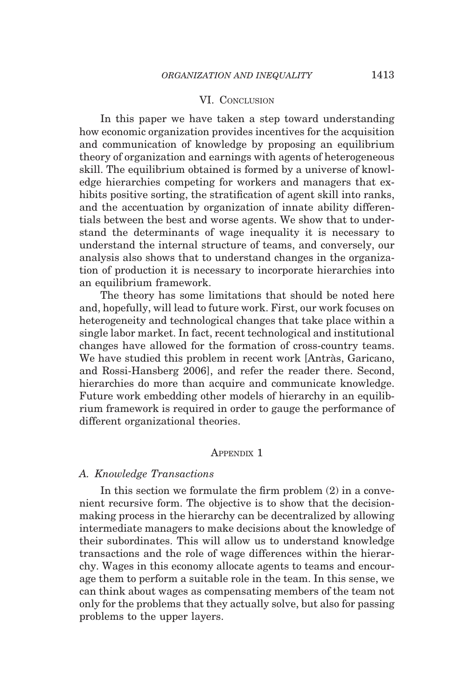#### VI. CONCLUSION

In this paper we have taken a step toward understanding how economic organization provides incentives for the acquisition and communication of knowledge by proposing an equilibrium theory of organization and earnings with agents of heterogeneous skill. The equilibrium obtained is formed by a universe of knowledge hierarchies competing for workers and managers that exhibits positive sorting, the stratification of agent skill into ranks, and the accentuation by organization of innate ability differentials between the best and worse agents. We show that to understand the determinants of wage inequality it is necessary to understand the internal structure of teams, and conversely, our analysis also shows that to understand changes in the organization of production it is necessary to incorporate hierarchies into an equilibrium framework.

The theory has some limitations that should be noted here and, hopefully, will lead to future work. First, our work focuses on heterogeneity and technological changes that take place within a single labor market. In fact, recent technological and institutional changes have allowed for the formation of cross-country teams. We have studied this problem in recent work [Antràs, Garicano, and Rossi-Hansberg 2006], and refer the reader there. Second, hierarchies do more than acquire and communicate knowledge. Future work embedding other models of hierarchy in an equilibrium framework is required in order to gauge the performance of different organizational theories.

#### APPENDIX 1

#### *A. Knowledge Transactions*

In this section we formulate the firm problem (2) in a convenient recursive form. The objective is to show that the decisionmaking process in the hierarchy can be decentralized by allowing intermediate managers to make decisions about the knowledge of their subordinates. This will allow us to understand knowledge transactions and the role of wage differences within the hierarchy. Wages in this economy allocate agents to teams and encourage them to perform a suitable role in the team. In this sense, we can think about wages as compensating members of the team not only for the problems that they actually solve, but also for passing problems to the upper layers.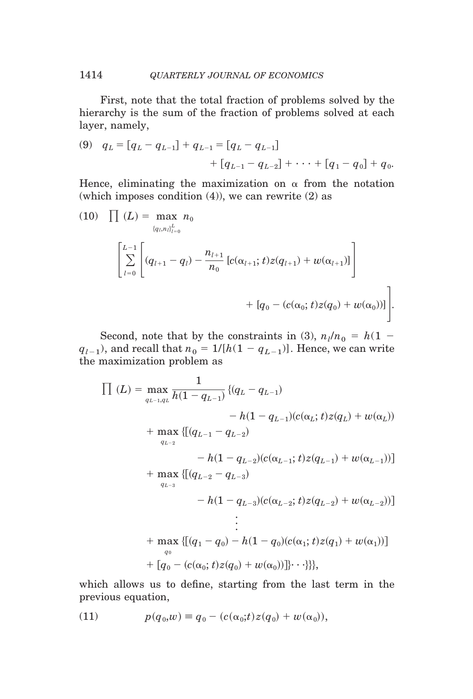First, note that the total fraction of problems solved by the hierarchy is the sum of the fraction of problems solved at each layer, namely,

$$
(9) \quad q_L = [q_L - q_{L-1}] + q_{L-1} = [q_L - q_{L-1}] \\
 \qquad \qquad + [q_{L-1} - q_{L-2}] + \cdots + [q_1 - q_0] + q_0.
$$

Hence, eliminating the maximization on  $\alpha$  from the notation (which imposes condition (4)), we can rewrite (2) as

(10) 
$$
\prod (L) = \max_{\{q_l, n_l\}_{l=0}^L} n_0
$$

$$
\left[ \sum_{l=0}^{L-1} \left[ (q_{l+1} - q_l) - \frac{n_{l+1}}{n_0} \left[ c(\alpha_{l+1}; t) z(q_{l+1}) + w(\alpha_{l+1}) \right] \right] + \left[ q_0 - (c(\alpha_0; t) z(q_0) + w(\alpha_0)) \right] \right].
$$

Second, note that by the constraints in (3),  $n_l/n_0 = h(1$  $q_{l-1}$ , and recall that  $n_0 = 1/[h(1 - q_{L-1})]$ . Hence, we can write the maximization problem as

$$
\begin{split}\n\prod (L) &= \max_{q_{L-1},q_L} \frac{1}{h(1-q_{L-1})} \{ (q_L - q_{L-1}) \\
&\quad - h(1-q_{L-1})(c(\alpha_L; t)z(q_L) + w(\alpha_L)) \\
&\quad + \max_{q_{L-2}} \{ [(q_{L-1} - q_{L-2}) \\
&\quad - h(1-q_{L-2})(c(\alpha_{L-1}; t)z(q_{L-1}) + w(\alpha_{L-1})) ] \\
&\quad + \max_{q_{L-3}} \{ [(q_{L-2} - q_{L-3}) \\
&\quad - h(1-q_{L-3})(c(\alpha_{L-2}; t)z(q_{L-2}) + w(\alpha_{L-2})) ] \\
&\quad \vdots \\
&\quad + \max_{q_0} \{ [(q_1 - q_0) - h(1-q_0)(c(\alpha_1; t)z(q_1) + w(\alpha_1))] \} \\
&\quad + [q_0 - (c(\alpha_0; t)z(q_0) + w(\alpha_0))] \} \cdots \} \},\n\end{split}
$$

which allows us to define, starting from the last term in the previous equation,

(11) 
$$
p(q_0, w) \equiv q_0 - (c(\alpha_0; t)z(q_0) + w(\alpha_0)),
$$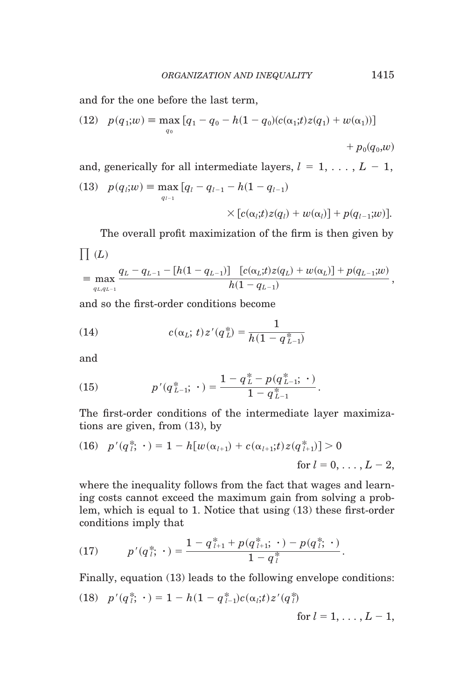and for the one before the last term,

(12) 
$$
p(q_1; w) = \max_{q_0} [q_1 - q_0 - h(1 - q_0)(c(\alpha_1; t)z(q_1) + w(\alpha_1))]
$$

$$
+ p_0(q_0, w)
$$

and, generically for all intermediate layers,  $l = 1, \ldots, L - 1$ ,  $p(q_i; w) \equiv \max_{q_{l-1}} [q_l - q_{l-1} - h(1 - q_{l-1})]$  $\times$   $[c(\alpha_i; t)z(q_i) + w(\alpha_i)] + p(q_{i-1};w)].$ 

The overall profit maximization of the firm is then given by  $\prod(L)$ 

$$
= \max_{q_{L},q_{L-1}} \frac{q_{L}-q_{L-1}-[h(1-q_{L-1})]-[c(\alpha_L;t)z(q_L)+w(\alpha_L)]+p(q_{L-1};w)}{h(1-q_{L-1})},
$$

and so the first-order conditions become

(14) 
$$
c(\alpha_L; t)z'(q_L^*) = \frac{1}{h(1-q_{L-1}^*)}
$$

and

(15) 
$$
p'(q_{L-1}^*; \cdot) = \frac{1 - q_L^* - p(q_{L-1}^*; \cdot)}{1 - q_{L-1}^*}.
$$

The first-order conditions of the intermediate layer maximizations are given, from (13), by

(16) 
$$
p'(q_i^*; \cdot) = 1 - h[w(\alpha_{l+1}) + c(\alpha_{l+1}; t)z(q_{l+1}^*)] > 0
$$
  
for  $l = 0, ..., L - 2$ ,

where the inequality follows from the fact that wages and learning costs cannot exceed the maximum gain from solving a problem, which is equal to 1. Notice that using (13) these first-order conditions imply that

(17) 
$$
p'(q_i^*, \cdot) = \frac{1 - q_{i+1}^* + p(q_{i+1}^*, \cdot) - p(q_i^*, \cdot)}{1 - q_i^*}
$$

Finally, equation (13) leads to the following envelope conditions:

.

(18) 
$$
p'(q_i^*; \cdot) = 1 - h(1 - q_{l-1}^*)c(\alpha_i; t)z'(q_i^*)
$$
  
for  $l = 1, ..., L-1$ ,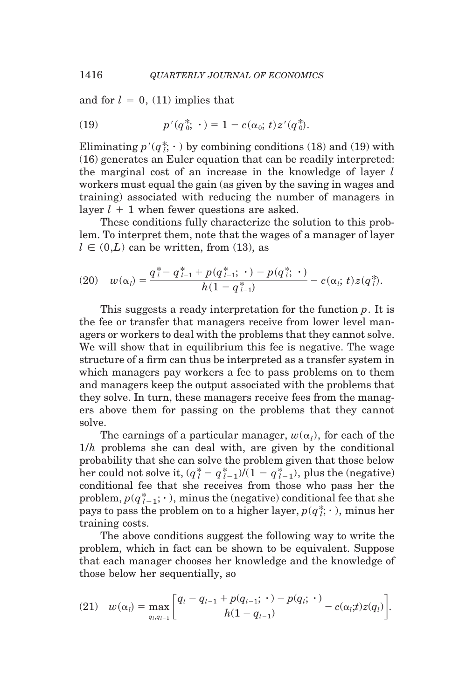and for  $l = 0$ , (11) implies that

(19) 
$$
p'(q_0^*; \cdot) = 1 - c(\alpha_0; t) z'(q_0^*).
$$

Eliminating  $p'(q_i^* \cdot)$  by combining conditions (18) and (19) with (16) generates an Euler equation that can be readily interpreted: the marginal cost of an increase in the knowledge of layer *l* workers must equal the gain (as given by the saving in wages and training) associated with reducing the number of managers in layer  $l + 1$  when fewer questions are asked.

These conditions fully characterize the solution to this problem. To interpret them, note that the wages of a manager of layer  $l \in (0,L)$  can be written, from (13), as

$$
(20) \t w(\alpha_l) = \frac{q_l^* - q_{l-1}^* + p(q_{l-1}^* \cdot) - p(q_l^* \cdot \cdot)}{h(1 - q_{l-1}^*)} - c(\alpha_l; t)z(q_l^*).
$$

This suggests a ready interpretation for the function *p*. It is the fee or transfer that managers receive from lower level managers or workers to deal with the problems that they cannot solve. We will show that in equilibrium this fee is negative. The wage structure of a firm can thus be interpreted as a transfer system in which managers pay workers a fee to pass problems on to them and managers keep the output associated with the problems that they solve. In turn, these managers receive fees from the managers above them for passing on the problems that they cannot solve.

The earnings of a particular manager,  $w(\alpha_i)$ , for each of the 1/*h* problems she can deal with, are given by the conditional probability that she can solve the problem given that those below her could not solve it,  $(q_l^* - q_{l-1}^*)/(1 - q_{l-1}^*)$ , plus the (negative) conditional fee that she receives from those who pass her the problem,  $p(q_{l-1}^*; \cdot)$ , minus the (negative) conditional fee that she pays to pass the problem on to a higher layer,  $p(q_i^*, \cdot)$ , minus her training costs.

The above conditions suggest the following way to write the problem, which in fact can be shown to be equivalent. Suppose that each manager chooses her knowledge and the knowledge of those below her sequentially, so

(21) 
$$
w(\alpha_l) = \max_{q_l, q_{l-1}} \left[ \frac{q_l - q_{l-1} + p(q_{l-1}; \cdot) - p(q_l; \cdot)}{h(1 - q_{l-1})} - c(\alpha_l; t) z(q_l) \right].
$$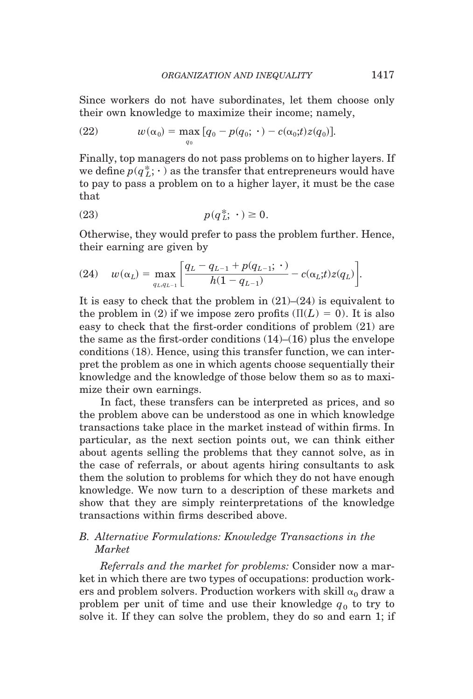Since workers do not have subordinates, let them choose only their own knowledge to maximize their income; namely,

(22) 
$$
w(\alpha_0) = \max_{q_0} [q_0 - p(q_0; \cdot) - c(\alpha_0; t)z(q_0)].
$$

Finally, top managers do not pass problems on to higher layers. If we define  $p(q^{\ast}_L;\cdot)$  as the transfer that entrepreneurs would have to pay to pass a problem on to a higher layer, it must be the case that

$$
(23) \t\t\t p(q_L^*; \cdot) \ge 0.
$$

Otherwise, they would prefer to pass the problem further. Hence, their earning are given by

(24) 
$$
w(\alpha_L) = \max_{q_L, q_{L-1}} \left[ \frac{q_L - q_{L-1} + p(q_{L-1}; \cdot)}{h(1 - q_{L-1})} - c(\alpha_L; t) z(q_L) \right].
$$

It is easy to check that the problem in  $(21)–(24)$  is equivalent to the problem in (2) if we impose zero profits  $(\Pi(L) = 0)$ . It is also easy to check that the first-order conditions of problem (21) are the same as the first-order conditions  $(14)$ – $(16)$  plus the envelope conditions (18). Hence, using this transfer function, we can interpret the problem as one in which agents choose sequentially their knowledge and the knowledge of those below them so as to maximize their own earnings.

In fact, these transfers can be interpreted as prices, and so the problem above can be understood as one in which knowledge transactions take place in the market instead of within firms. In particular, as the next section points out, we can think either about agents selling the problems that they cannot solve, as in the case of referrals, or about agents hiring consultants to ask them the solution to problems for which they do not have enough knowledge. We now turn to a description of these markets and show that they are simply reinterpretations of the knowledge transactions within firms described above.

# *B. Alternative Formulations: Knowledge Transactions in the Market*

*Referrals and the market for problems:* Consider now a market in which there are two types of occupations: production workers and problem solvers. Production workers with skill  $\alpha_0$  draw a problem per unit of time and use their knowledge  $q_0$  to try to solve it. If they can solve the problem, they do so and earn 1; if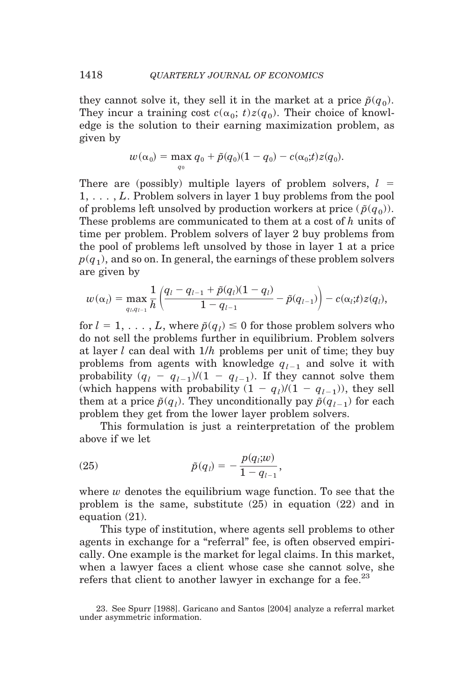they cannot solve it, they sell it in the market at a price  $\tilde{p}(q_0)$ . They incur a training cost  $c(\alpha_0; t)z(q_0)$ . Their choice of knowledge is the solution to their earning maximization problem, as given by

$$
w(\alpha_0) = \max_{q_0} q_0 + \tilde{p}(q_0)(1-q_0) - c(\alpha_0; t)z(q_0).
$$

There are (possibly) multiple layers of problem solvers,  $l =$ 1, . . . , *L*. Problem solvers in layer 1 buy problems from the pool of problems left unsolved by production workers at price  $(\tilde{p}(q_0))$ . These problems are communicated to them at a cost of *h* units of time per problem. Problem solvers of layer 2 buy problems from the pool of problems left unsolved by those in layer 1 at a price  $p(q_1)$ , and so on. In general, the earnings of these problem solvers are given by

$$
w(\alpha_l) = \max_{q_l,q_{l-1}} \frac{1}{h} \left( \frac{q_l - q_{l-1} + \tilde{p}(q_l)(1-q_l)}{1 - q_{l-1}} - \tilde{p}(q_{l-1}) \right) - c(\alpha_l;t)z(q_l),
$$

for  $l = 1, \ldots, L$ , where  $\tilde{p}(q_l) \leq 0$  for those problem solvers who do not sell the problems further in equilibrium. Problem solvers at layer *l* can deal with 1/*h* problems per unit of time; they buy problems from agents with knowledge  $q_{l-1}$  and solve it with probability  $(q_l - q_{l-1})/(1 - q_{l-1})$ . If they cannot solve them (which happens with probability  $(1 - q_l)/(1 - q_{l-1})$ ), they sell them at a price  $\tilde{p}(q_l)$ . They unconditionally pay  $\tilde{p}(q_{l-1})$  for each problem they get from the lower layer problem solvers.

This formulation is just a reinterpretation of the problem above if we let

(25) 
$$
\tilde{p}(q_i) = -\frac{p(q_i;w)}{1 - q_{i-1}},
$$

where *w* denotes the equilibrium wage function. To see that the problem is the same, substitute (25) in equation (22) and in equation (21).

This type of institution, where agents sell problems to other agents in exchange for a "referral" fee, is often observed empirically. One example is the market for legal claims. In this market, when a lawyer faces a client whose case she cannot solve, she refers that client to another lawyer in exchange for a fee.<sup>23</sup>

<sup>23.</sup> See Spurr [1988]. Garicano and Santos [2004] analyze a referral market under asymmetric information.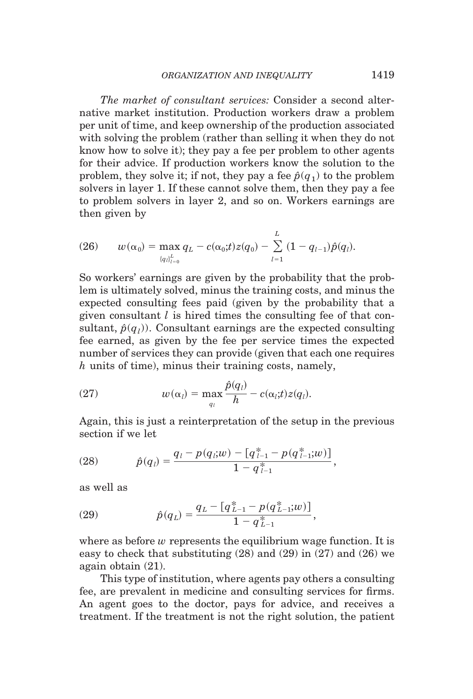*The market of consultant services:* Consider a second alternative market institution. Production workers draw a problem per unit of time, and keep ownership of the production associated with solving the problem (rather than selling it when they do not know how to solve it); they pay a fee per problem to other agents for their advice. If production workers know the solution to the problem, they solve it; if not, they pay a fee  $\hat{p}(q_1)$  to the problem solvers in layer 1. If these cannot solve them, then they pay a fee to problem solvers in layer 2, and so on. Workers earnings are then given by

(26) 
$$
w(\alpha_0) = \max_{\{q_l\}_{l=0}^L} q_L - c(\alpha_0; t)z(q_0) - \sum_{l=1}^L (1 - q_{l-1})\hat{p}(q_l).
$$

So workers' earnings are given by the probability that the problem is ultimately solved, minus the training costs, and minus the expected consulting fees paid (given by the probability that a given consultant *l* is hired times the consulting fee of that consultant,  $\hat{p}(q_i)$ ). Consultant earnings are the expected consulting fee earned, as given by the fee per service times the expected number of services they can provide (given that each one requires *h* units of time), minus their training costs, namely,

(27) 
$$
w(\alpha_l) = \max_{q_l} \frac{\hat{p}(q_l)}{h} - c(\alpha_l; t) z(q_l).
$$

Again, this is just a reinterpretation of the setup in the previous section if we let

(28) 
$$
\hat{p}(q_i) = \frac{q_i - p(q_i; w) - [q_{i-1}^* - p(q_{i-1}^*; w)]}{1 - q_{i-1}^*},
$$

as well as

(29) 
$$
\hat{p}(q_L) = \frac{q_L - [q_{L-1}^* - p(q_{L-1}^*; w)]}{1 - q_{L-1}^*},
$$

where as before *w* represents the equilibrium wage function. It is easy to check that substituting (28) and (29) in (27) and (26) we again obtain (21).

This type of institution, where agents pay others a consulting fee, are prevalent in medicine and consulting services for firms. An agent goes to the doctor, pays for advice, and receives a treatment. If the treatment is not the right solution, the patient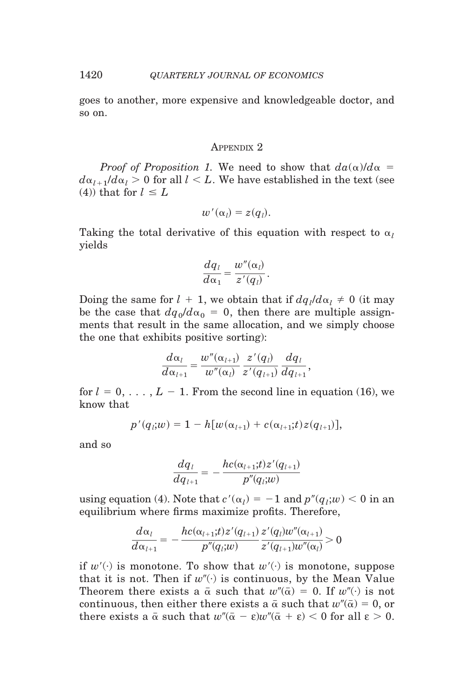goes to another, more expensive and knowledgeable doctor, and so on.

#### APPENDIX 2

*Proof of Proposition 1.* We need to show that  $da(\alpha)/d\alpha$  =  $d\alpha_{l+1}/d\alpha_l > 0$  for all  $l < L.$  We have established in the text (see (4)) that for  $l \leq L$ 

$$
w'(\alpha_l)=z(q_l).
$$

Taking the total derivative of this equation with respect to  $\alpha_l$ yields

$$
\frac{dq_l}{d\alpha_1} = \frac{w''(\alpha_l)}{z'(q_l)}.
$$

Doing the same for  $l + 1$ , we obtain that if  $dq_l/d\alpha_l \neq 0$  (it may be the case that  $d q_0/d\alpha_0 = 0$ , then there are multiple assignments that result in the same allocation, and we simply choose the one that exhibits positive sorting):

$$
\frac{d\alpha_l}{d\alpha_{l+1}}\!=\!\frac{w''(\alpha_{l+1})}{w''(\alpha_l)}\frac{z'(q_l)}{z'(q_{l+1})}\frac{dq_l}{dq_{l+1}},
$$

for  $l = 0, \ldots, L - 1$ . From the second line in equation (16), we know that

$$
p'(q_i; w) = 1 - h[w(\alpha_{l+1}) + c(\alpha_{l+1}; t)z(q_{l+1})],
$$

and so

$$
\frac{dq_{l}}{dq_{l+1}}=-\frac{hc(\alpha_{l+1};t)z'(q_{l+1})}{p''(q_{l};w)}
$$

using equation (4). Note that  $c'(\alpha_l) = -1$  and  $p''(q_l;\omega) < 0$  in an equilibrium where firms maximize profits. Therefore,

$$
\frac{d\alpha_l}{d\alpha_{l+1}} = -\frac{hc(\alpha_{l+1};t)z'(q_{l+1})}{p''(q_l;\!w)}\frac{z'(q_l)w''(\alpha_{l+1})}{z'(q_{l+1})w''(\alpha_l)}\!>\!0
$$

if  $w'(\cdot)$  is monotone. To show that  $w'(\cdot)$  is monotone, suppose that it is not. Then if  $w''(.)$  is continuous, by the Mean Value Theorem there exists a  $\bar{\alpha}$  such that  $w''(\bar{\alpha}) = 0$ . If  $w''(\cdot)$  is not continuous, then either there exists a  $\bar{\alpha}$  such that  $w''(\bar{\alpha}) = 0,$  or there exists a  $\bar{\alpha}$  such that  $w''(\bar{\alpha} - \epsilon)w''(\bar{\alpha} + \epsilon) < 0$  for all  $\epsilon > 0$ .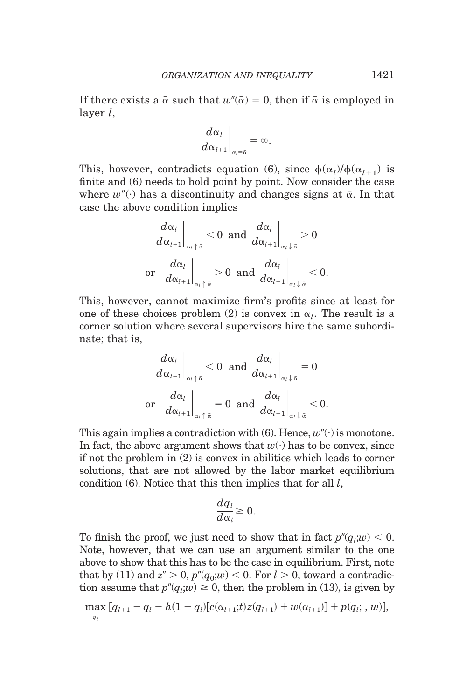If there exists a  $\bar{\alpha}$  such that  $w''(\bar{\alpha}) = 0,$  then if  $\bar{\alpha}$  is employed in layer *l*,

$$
\left.\frac{d\alpha_l}{d\alpha_{l+1}}\right|_{\alpha_l=\bar\alpha}=\infty.
$$

This, however, contradicts equation (6), since  $\phi(\alpha_l)/\phi(\alpha_{l+1})$  is finite and (6) needs to hold point by point. Now consider the case where  $w''(\cdot)$  has a discontinuity and changes signs at  $\bar{\alpha}$ . In that case the above condition implies

$$
\frac{d\alpha_l}{d\alpha_{l+1}}\bigg|_{\alpha_l\uparrow\bar{\alpha}} < 0 \text{ and } \frac{d\alpha_l}{d\alpha_{l+1}}\bigg|_{\alpha_l\downarrow\bar{\alpha}} > 0
$$
\n
$$
\text{or } \frac{d\alpha_l}{d\alpha_{l+1}}\bigg|_{\alpha_l\uparrow\bar{\alpha}} > 0 \text{ and } \frac{d\alpha_l}{d\alpha_{l+1}}\bigg|_{\alpha_l\downarrow\bar{\alpha}} < 0.
$$

This, however, cannot maximize firm's profits since at least for one of these choices problem (2) is convex in  $\alpha_l$ . The result is a corner solution where several supervisors hire the same subordinate; that is,

$$
\frac{d\alpha_l}{d\alpha_{l+1}}\Big|_{\alpha_l\uparrow\bar{\alpha}} < 0 \text{ and } \frac{d\alpha_l}{d\alpha_{l+1}}\Big|_{\alpha_l\downarrow\bar{\alpha}} = 0
$$
\n
$$
\text{or } \frac{d\alpha_l}{d\alpha_{l+1}}\Big|_{\alpha_l\uparrow\bar{\alpha}} = 0 \text{ and } \frac{d\alpha_l}{d\alpha_{l+1}}\Big|_{\alpha_l\downarrow\bar{\alpha}} < 0.
$$

This again implies a contradiction with  $(6)$ . Hence,  $w''(.)$  is monotone. In fact, the above argument shows that  $w(\cdot)$  has to be convex, since if not the problem in (2) is convex in abilities which leads to corner solutions, that are not allowed by the labor market equilibrium condition (6). Notice that this then implies that for all *l*,

$$
\frac{dq_l}{d\alpha_l}\geq 0.
$$

To finish the proof, we just need to show that in fact  $p''(q_i;\omega) < 0$ . Note, however, that we can use an argument similar to the one above to show that this has to be the case in equilibrium. First, note that by (11) and  $z'' > 0$ ,  $p''(q_0; w) < 0$ . For  $l > 0$ , toward a contradiction assume that  $p''(q_i; w) \ge 0$ , then the problem in (13), is given by

$$
\max_{q_l} [q_{l+1} - q_l - h(1 - q_l)[c(\alpha_{l+1}; t)z(q_{l+1}) + w(\alpha_{l+1})] + p(q_l; \, w)],
$$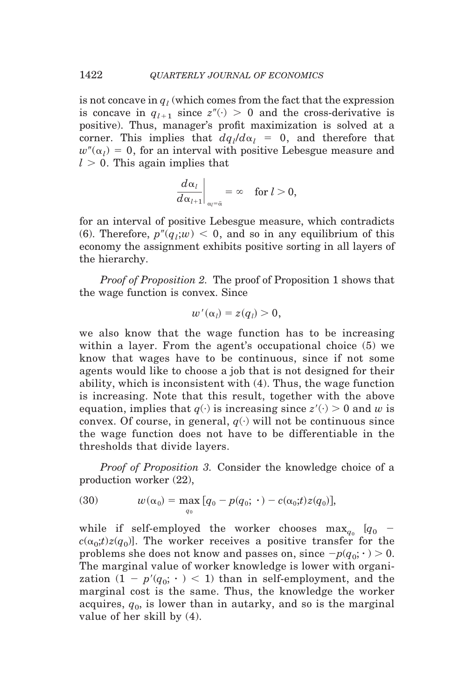is not concave in  $q_l$  (which comes from the fact that the expression is concave in  $q_{l+1}$  since  $z''(t) > 0$  and the cross-derivative is positive). Thus, manager's profit maximization is solved at a corner. This implies that  $dq_l/d\alpha_l = 0$ , and therefore that  $w''(\alpha_l) = 0$ , for an interval with positive Lebesgue measure and  $l > 0$ . This again implies that

$$
\left.\frac{d\alpha_l}{d\alpha_{l+1}}\right|_{\alpha_l=\bar\alpha}=\infty\quad\text{ for }l>0,
$$

for an interval of positive Lebesgue measure, which contradicts (6). Therefore,  $p''(q_i; w) < 0$ , and so in any equilibrium of this economy the assignment exhibits positive sorting in all layers of the hierarchy.

*Proof of Proposition 2.* The proof of Proposition 1 shows that the wage function is convex. Since

$$
w'(\alpha_l)=z(q_l)>0,
$$

we also know that the wage function has to be increasing within a layer. From the agent's occupational choice (5) we know that wages have to be continuous, since if not some agents would like to choose a job that is not designed for their ability, which is inconsistent with (4). Thus, the wage function is increasing. Note that this result, together with the above equation, implies that  $q(\cdot)$  is increasing since  $z'(\cdot) > 0$  and *w* is convex. Of course, in general,  $q(\cdot)$  will not be continuous since the wage function does not have to be differentiable in the thresholds that divide layers.

*Proof of Proposition 3.* Consider the knowledge choice of a production worker (22),

(30) 
$$
w(\alpha_0) = \max_{q_0} [q_0 - p(q_0; \cdot) - c(\alpha_0; t) z(q_0)],
$$

while if self-employed the worker chooses  $\max_{q_0}$  [ $q_0$   $c(\alpha_0;t)z(q_0)$ . The worker receives a positive transfer for the problems she does not know and passes on, since  $-p(q_0; \cdot) > 0$ . The marginal value of worker knowledge is lower with organization  $(1 - p'(q_0; \cdot) < 1)$  than in self-employment, and the marginal cost is the same. Thus, the knowledge the worker acquires,  $q_0$ , is lower than in autarky, and so is the marginal value of her skill by (4).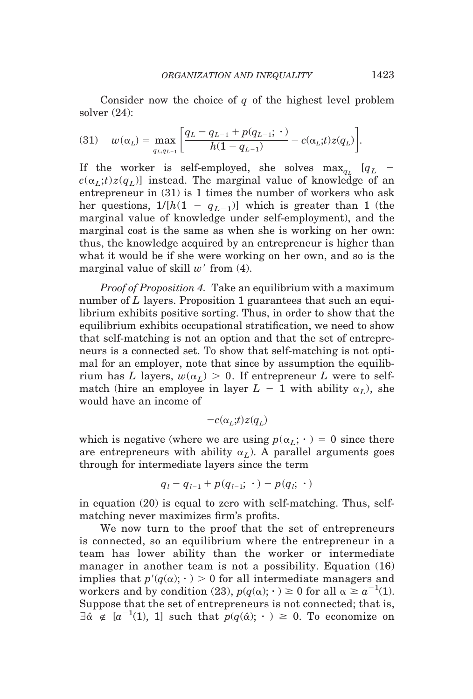Consider now the choice of *q* of the highest level problem solver (24):

(31) 
$$
w(\alpha_L) = \max_{q_L, q_{L-1}} \left[ \frac{q_L - q_{L-1} + p(q_{L-1}; \cdot)}{h(1 - q_{L-1})} - c(\alpha_L; t) z(q_L) \right].
$$

If the worker is self-employed, she solves  $\max_{q_i}$  [ $q_L$  –  $c(\alpha_L;t)z(q_L)$  instead. The marginal value of knowledge of an entrepreneur in (31) is 1 times the number of workers who ask her questions,  $1/[h(1 - q_{L-1})]$  which is greater than 1 (the marginal value of knowledge under self-employment), and the marginal cost is the same as when she is working on her own: thus, the knowledge acquired by an entrepreneur is higher than what it would be if she were working on her own, and so is the marginal value of skill  $w'$  from (4).

*Proof of Proposition 4.* Take an equilibrium with a maximum number of *L* layers. Proposition 1 guarantees that such an equilibrium exhibits positive sorting. Thus, in order to show that the equilibrium exhibits occupational stratification, we need to show that self-matching is not an option and that the set of entrepreneurs is a connected set. To show that self-matching is not optimal for an employer, note that since by assumption the equilibrium has *L* layers,  $w(\alpha<sub>L</sub>) > 0$ . If entrepreneur *L* were to selfmatch (hire an employee in layer  $L - 1$  with ability  $\alpha_L$ ), she would have an income of

$$
-c(\alpha_L;t)z(q_L)
$$

which is negative (where we are using  $p(\alpha_L; \cdot) = 0$  since there are entrepreneurs with ability  $\alpha_L$ ). A parallel arguments goes through for intermediate layers since the term

$$
q_l - q_{l-1} + p(q_{l-1}; \cdot) - p(q_l; \cdot)
$$

in equation (20) is equal to zero with self-matching. Thus, selfmatching never maximizes firm's profits.

We now turn to the proof that the set of entrepreneurs is connected, so an equilibrium where the entrepreneur in a team has lower ability than the worker or intermediate manager in another team is not a possibility. Equation (16) implies that  $p'(q(\alpha); \cdot) > 0$  for all intermediate managers and workers and by condition (23),  $p(q(\alpha); \cdot) \ge 0$  for all  $\alpha \ge \alpha^{-1}(1)$ . Suppose that the set of entrepreneurs is not connected; that is,  $\exists \hat{\alpha} \notin [a^{-1}(1), 1]$  such that  $p(q(\hat{\alpha}); \cdot) \geq 0$ . To economize on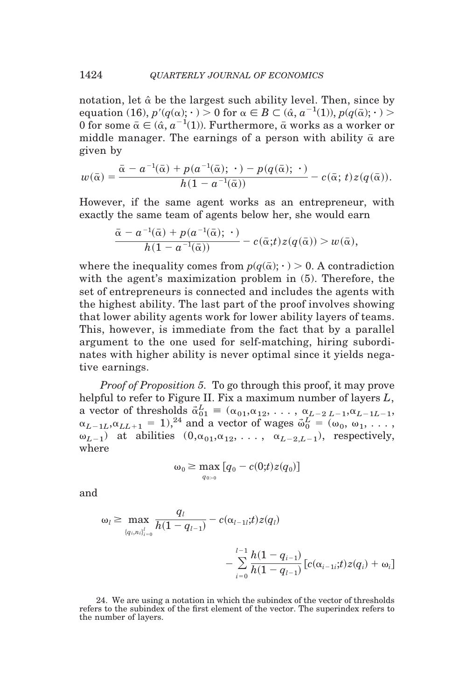notation, let  $\hat{\alpha}$  be the largest such ability level. Then, since by equation (16),  $p'(q(\alpha); \cdot) > 0$  for  $\alpha \in B \subset (\hat{\alpha}, a^{-1}(1)), p(q(\bar{\alpha}); \cdot) > 0$ 0 for some  $\bar{\alpha} \in (\hat{\alpha}, a^{-1}(1))$ . Furthermore,  $\bar{\alpha}$  works as a worker or middle manager. The earnings of a person with ability  $\bar{\alpha}$  are given by

$$
w(\bar{\alpha})=\frac{\bar{\alpha}-a^{-1}(\bar{\alpha})+p(a^{-1}(\bar{\alpha});\ \cdot)-p(q(\bar{\alpha});\ \cdot)}{h(1-a^{-1}(\bar{\alpha}))}-c(\bar{\alpha};\,t)z(q(\bar{\alpha})).
$$

However, if the same agent works as an entrepreneur, with exactly the same team of agents below her, she would earn

$$
\frac{\bar{\alpha}-a^{-1}(\bar{\alpha})+p(a^{-1}(\bar{\alpha});\ \cdot\ )}{h(1-a^{-1}(\bar{\alpha}))}-c(\bar{\alpha};t)z(q(\bar{\alpha}))>w(\bar{\alpha}),
$$

where the inequality comes from  $p(q(\bar{\alpha}); \, \cdot \,) > 0.$  A contradiction with the agent's maximization problem in (5). Therefore, the set of entrepreneurs is connected and includes the agents with the highest ability. The last part of the proof involves showing that lower ability agents work for lower ability layers of teams. This, however, is immediate from the fact that by a parallel argument to the one used for self-matching, hiring subordinates with higher ability is never optimal since it yields negative earnings.

*Proof of Proposition 5.* To go through this proof, it may prove helpful to refer to Figure II. Fix a maximum number of layers *L*, a vector of thresholds  $\vec{\alpha}_{01}^L \equiv (\alpha_{01}, \alpha_{12}, \ldots, \alpha_{L-2}^L L_{-1}, \alpha_{L-1}^L L_{-1})$  $\alpha_{L-1L}, \alpha_{LL+1} = 1$ ,<sup>24</sup> and a vector of wages  $\vec{\omega}_{0}^{L} = (\omega_{0}, \omega_{1}, \ldots, \omega_{L})$  $\omega_{L-1}$ ) at abilities  $(0, \alpha_{01}, \alpha_{12}, \ldots, \alpha_{L-2,L-1})$ , respectively, where

$$
\omega_0 \geq \max_{q_{0>0}} [q_0 - c(0; t)z(q_0)]
$$

and

$$
\omega_{l} \geq \max_{\{q_{i}, n_{i} \}_{i=0}^{l}} \frac{q_{l}}{h(1 - q_{l-1})} - c(\alpha_{l-1}, t) z(q_{l}) - \sum_{i=0}^{l-1} \frac{h(1 - q_{i-1})}{h(1 - q_{l-1})} [c(\alpha_{i-1}, t) z(q_{i}) + \omega_{i}]
$$

24. We are using a notation in which the subindex of the vector of thresholds refers to the subindex of the first element of the vector. The superindex refers to the number of layers.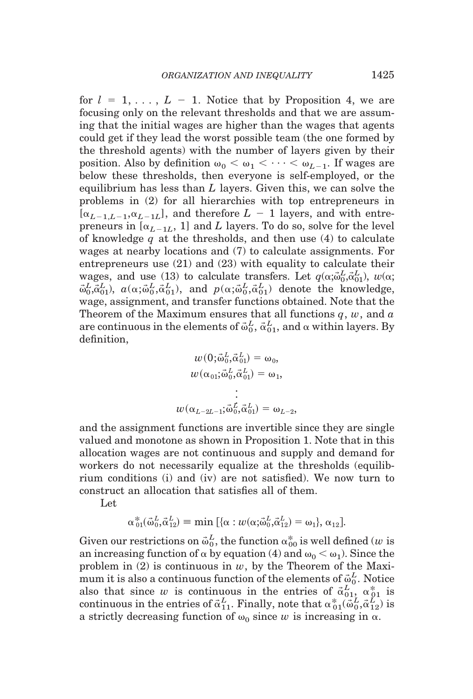for  $l = 1, \ldots, L - 1$ . Notice that by Proposition 4, we are focusing only on the relevant thresholds and that we are assuming that the initial wages are higher than the wages that agents could get if they lead the worst possible team (the one formed by the threshold agents) with the number of layers given by their position. Also by definition  $\omega_0 < \omega_1 < \cdots < \omega_{L-1}$ . If wages are below these thresholds, then everyone is self-employed, or the equilibrium has less than *L* layers. Given this, we can solve the problems in (2) for all hierarchies with top entrepreneurs in  $[\alpha_{L-1,L-1}, \alpha_{L-1,L}]$ , and therefore  $L-1$  layers, and with entrepreneurs in  $[\alpha_{L-1L}, 1]$  and *L* layers. To do so, solve for the level of knowledge *q* at the thresholds, and then use (4) to calculate wages at nearby locations and (7) to calculate assignments. For entrepreneurs use (21) and (23) with equality to calculate their wages, and use (13) to calculate transfers. Let  $q(\alpha; \vec{\omega}_0^L, \vec{\omega}_0^L)$ ,  $w(\alpha;$  $\vec{\omega}_{0}^{L}, \vec{\alpha}_{01}^{L}$ ,  $a(\alpha; \vec{\omega}_{0}^{L}, \vec{\alpha}_{01}^{L})$ , and  $p(\alpha; \vec{\omega}_{0}^{L}, \vec{\alpha}_{01}^{L})$  denote the knowledge, wage, assignment, and transfer functions obtained. Note that the Theorem of the Maximum ensures that all functions *q*, *w*, and *a* are continuous in the elements of  $\mathring{a}_{0}^{L},$   $\mathring{a}_{01}^{L},$  and  $\alpha$  within layers. By definition,

$$
w(0; \vec{\omega}_0^L, \vec{\alpha}_{01}^L) = \omega_0,
$$
  
\n
$$
w(\alpha_{01}; \vec{\omega}_0^L, \vec{\alpha}_{01}^L) = \omega_1,
$$
  
\n
$$
\vdots
$$
  
\n
$$
w(\alpha_{L-2L-1}; \vec{\omega}_0^L, \vec{\alpha}_{01}^L) = \omega_{L-2},
$$

and the assignment functions are invertible since they are single valued and monotone as shown in Proposition 1. Note that in this allocation wages are not continuous and supply and demand for workers do not necessarily equalize at the thresholds (equilibrium conditions (i) and (iv) are not satisfied). We now turn to construct an allocation that satisfies all of them.

Let

$$
\alpha_{01}^*(\vec{\omega}_0^L, \vec{\alpha}_{12}^L) \equiv \min\ [\{\alpha: w(\alpha; \vec{\omega}_0^L, \vec{\alpha}_{12}^L) = \omega_1\}, \alpha_{12}].
$$

Given our restrictions on  $\mathring{{\mathbf{\omega}}}^L_0$ , the function  $\mathring{{\mathbf{\alpha}}}^*_{00}$  is well defined ( $w$  is an increasing function of  $\alpha$  by equation (4) and  $\omega_0 < \omega_1$ ). Since the problem in  $(2)$  is continuous in  $w$ , by the Theorem of the Maximum it is also a continuous function of the elements of  $\phi_0^L$ . Notice also that since *w* is continuous in the entries of  $\tilde{\alpha}_{01}^L$ ,  $\alpha_{01}^*$  is continuous in the entries of  $\vec{\alpha}_{11}^L$ . Finally, note that  $\alpha_{01}^*(\vec{\omega}_0^L, \vec{\alpha}_{12}^L)$  is a strictly decreasing function of  $\omega_0$  since *w* is increasing in  $\alpha$ .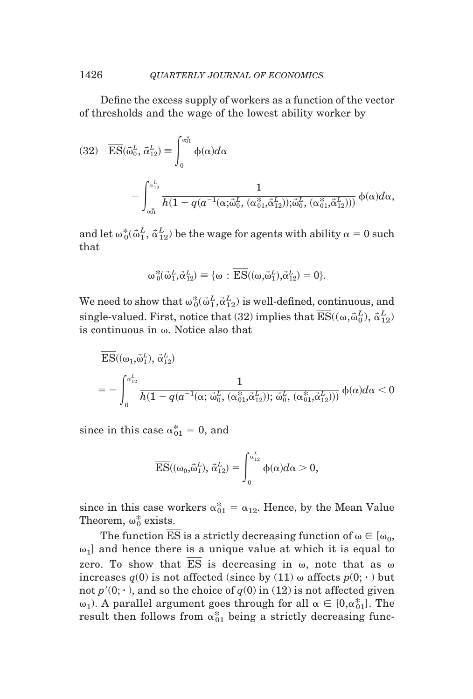#### 1426 *QUARTERLY JOURNAL OF ECONOMICS*

Define the excess supply of workers as a function of the vector of thresholds and the wage of the lowest ability worker by

(32) 
$$
\overline{ES}(\vec{\omega}_0^L, \vec{\alpha}_{12}^L) \equiv \int_0^{\omega_{01}^*} \phi(\alpha) d\alpha - \int_{\omega_{01}^*}^{\alpha_{12}^L} \frac{1}{h(1 - q(a^{-1}(\alpha; \vec{\omega}_0^L, (\alpha_{01}^*, \vec{\alpha}_{12}^L)); \vec{\omega}_0^L, (\alpha_{01}^*, \vec{\alpha}_{12}^L)))} \phi(\alpha) d\alpha,
$$

and let  $\omega_0^*(\vec{\omega}_1^L, \vec{\alpha}_{12}^L)$  be the wage for agents with ability  $\alpha = 0$  such that

$$
\omega_0^*(\vec{\omega}_1^L, \vec{\alpha}_{12}^L) \equiv \{\omega : \overline{\mathrm{ES}}((\omega, \vec{\omega}_1^L), \vec{\alpha}_{12}^L) = 0\}.
$$

We need to show that  $\omega_0^*(\vec{\omega}_1^L, \vec{\alpha}_{12}^L)$  is well-defined, continuous, and single-valued. First, notice that (32) implies that  $\overline{\text{ES}}((\omega, \vec{\omega}_0^L), \vec{\alpha}_{12}^L)$  $((\omega, \vec{\omega}_0^L), \vec{\alpha}_{12}^L)$ 

is continuous in 
$$
\omega
$$
. Notice also that  
\n
$$
\overline{\text{ES}}((\omega_1, \vec{\omega}_1^L), \vec{\alpha}_{12}^L)
$$
\n
$$
= -\int_0^{\alpha_{12}^L} \frac{1}{h(1 - q(a^{-1}(\alpha; \vec{\omega}_0^L, (\alpha_{01}^*, \vec{\alpha}_{12}^L)); \vec{\omega}_0^L, (\alpha_{01}^*, \vec{\alpha}_{12}^L)))} \phi(\alpha) d\alpha < 0
$$

since in this case  $\alpha_{01}^* = 0$ , and

$$
\overline{\mathrm{ES}}((\omega_0, \vec{\omega}_1^L), \vec{\alpha}_{12}^L) = \int_0^{\alpha_{12}^L} \varphi(\alpha) d\alpha > 0,
$$

since in this case workers  $\alpha_{01}^* = \alpha_{12}$ . Hence, by the Mean Value Theorem,  $\omega_0^*$  exists. is a strictly decreasing function of  $\omega \in [\omega_0, \omega_0]$ .<br>The function  $\overline{ES}$  is a strictly decreasing function of  $\omega \in [\omega_0, \omega_0]$ .

 $\omega_1$ ] and hence there is a unique value at which it is equal to The function ES is a strictly decreasing function of  $\omega \in [\omega_0, \omega_1]$  and hence there is a unique value at which it is equal to zero. To show that  $\overline{ES}$  is decreasing in  $\omega$ , note that as  $\omega$ increases  $q(0)$  is not affected (since by (11)  $\omega$  affects  $p(0; \cdot)$  but not  $p'(0; \cdot)$ , and so the choice of  $q(0)$  in (12) is not affected given  $\omega_1$ ). A parallel argument goes through for all  $\alpha \in [0,\alpha_{01}^*]$ . The result then follows from  $\alpha_{01}^*$  being a strictly decreasing func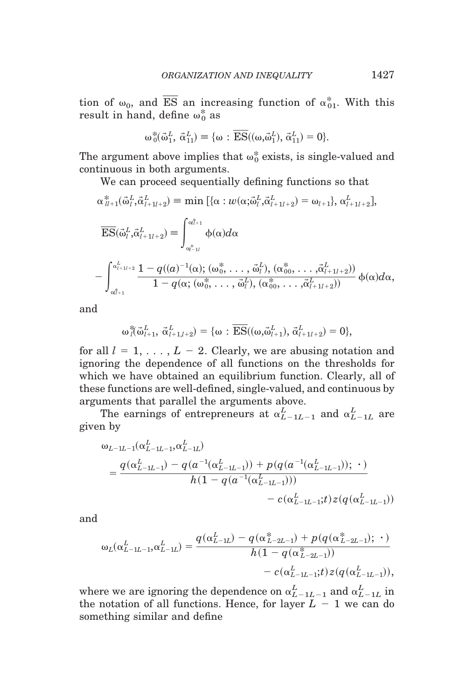*ORGANIZATION AND INEQUALITY* 1427<br>
tion of  $\omega_0$ , and  $\overline{ES}$  an increasing function of  $\alpha_{01}^*$ . With this result in hand, define  $\omega_0^*$  as<br> $\omega_0^*(\vec{\omega}_1^L, \vec{\alpha}_{11}^L) = {\omega : \overline{\text{ES}}}$ 

$$
\omega_0^*(\vec{\omega}_1^L, \vec{\alpha}_{11}^L) \equiv \{\omega : \overline{\mathrm{ES}}((\omega, \vec{\omega}_1^L), \vec{\alpha}_{11}^L) = 0\}.
$$

The argument above implies that  $\omega_0^*$  exists, is single-valued and continuous in both arguments.

We can proceed sequentially defining functions so that

$$
\alpha_{il+1}^{*}(\tilde{\omega}_{l}^{L}, \tilde{\alpha}_{l+1l+2}^{L}) = \min [\{\alpha : w(\alpha; \tilde{\omega}_{l}^{L}, \tilde{\alpha}_{l+1l+2}^{L}) = \omega_{l+1}\}, \alpha_{l+1l+2}^{L}],
$$
  

$$
\overline{ES}(\tilde{\omega}_{l}^{L}, \tilde{\alpha}_{l+1l+2}^{L}) = \int_{\alpha_{l+1}^{*}}^{\alpha_{l+1}^{*}} \phi(\alpha) d\alpha
$$

$$
- \int_{\alpha_{l+1}^{*}}^{\alpha_{l+1l+2}^{L}} \frac{1 - q((a)^{-1}(\alpha); (\omega_{0}^{*}, \ldots, \tilde{\omega}_{l}^{L}), (\alpha_{00}^{*}, \ldots, \tilde{\alpha}_{l+1l+2}^{L}))}{1 - q(\alpha; (\omega_{0}^{*}, \ldots, \tilde{\omega}_{l}^{L}), (\alpha_{00}^{*}, \ldots, \tilde{\alpha}_{l+1l+2}^{L}))} \phi(\alpha) d\alpha,
$$

and

$$
\omega_{l}^{*}(\vec{\omega}_{l+1}^{L},\ \vec{\alpha}_{l+1,l+2}^{L}) = \{\omega : \overline{\mathrm{ES}}((\omega,\vec{\omega}_{l+1}^{L}),\ \vec{\alpha}_{l+1l+2}^{L}) = 0\},
$$

for all  $l = 1, \ldots, L - 2$ . Clearly, we are abusing notation and ignoring the dependence of all functions on the thresholds for which we have obtained an equilibrium function. Clearly, all of these functions are well-defined, single-valued, and continuous by arguments that parallel the arguments above.

The earnings of entrepreneurs at  $\alpha_{L-1L-1}^L$  and  $\alpha_{L-1L}^L$  are given by

$$
\omega_{L-1}(\alpha_{L-1}^{L} - \alpha_{L-1}^{L})
$$
\n
$$
= \frac{q(\alpha_{L-1}^{L} - \alpha_{L-1}^{L}) - q(a^{-1}(\alpha_{L-1}^{L} - \alpha_{L-1})) + p(q(a^{-1}(\alpha_{L-1}^{L} - \alpha_{L-1})); \cdot)}{h(1 - q(a^{-1}(\alpha_{L-1}^{L} - \alpha_{L-1})))}
$$
\n
$$
- c(\alpha_{L-1}^{L} - \alpha_{L-1}^{L}; t) z(q(\alpha_{L-1}^{L} - \alpha_{L-1}))
$$

and

$$
\omega_L(\alpha_{L-1L-1}^L, \alpha_{L-1L}^L) = \frac{q(\alpha_{L-1L}^L) - q(\alpha_{L-2L-1}^*) + p(q(\alpha_{L-2L-1}^*); \cdot)}{h(1 - q(\alpha_{L-2L-1}^*)}) - c(\alpha_{L-1L-1}^L; t) z(q(\alpha_{L-1L-1}^L)),
$$

where we are ignoring the dependence on  $\alpha_{L-1L-1}^{L}$  and  $\alpha_{L-1L}^{L}$  in the notation of all functions. Hence, for layer  $L - 1$  we can do something similar and define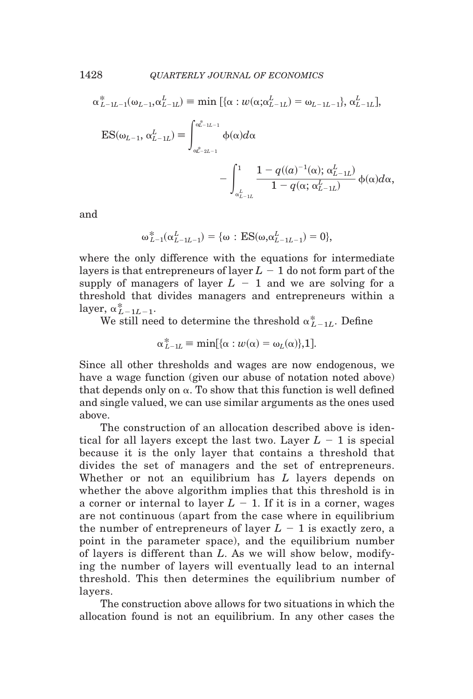$$
\alpha_{L-1}^* = \min\left[\{\alpha : w(\alpha; \alpha_{L-1L}^L) = \omega_{L-1L-1}\}, \alpha_{L-1L}^L\right],
$$
  
\n
$$
ES(\omega_{L-1}, \alpha_{L-1L}^L) \equiv \int_{\alpha_{L-2L-1}^*}^{\alpha_{L-1L-1}^*} \phi(\alpha) d\alpha
$$
  
\n
$$
- \int_{\alpha_{L-1L}^L}^1 \frac{1 - q((a)^{-1}(\alpha); \alpha_{L-1L}^L)}{1 - q(\alpha; \alpha_{L-1L}^L)} \phi(\alpha) d\alpha,
$$

and

$$
\omega_{L-1}^*(\alpha_{L-1}^L) = \{\omega : ES(\omega, \alpha_{L-1}^L) = 0\},\
$$

where the only difference with the equations for intermediate layers is that entrepreneurs of layer  $L-1$  do not form part of the supply of managers of layer  $L - 1$  and we are solving for a threshold that divides managers and entrepreneurs within a layer,  $\alpha_{L-1L-1}^*$ .

We still need to determine the threshold  $\alpha_{L-1L}^*$ . Define

$$
\alpha_{L-1L}^* = \min[\{\alpha : w(\alpha) = \omega_L(\alpha)\}, 1].
$$

Since all other thresholds and wages are now endogenous, we have a wage function (given our abuse of notation noted above) that depends only on  $\alpha$ . To show that this function is well defined and single valued, we can use similar arguments as the ones used above.

The construction of an allocation described above is identical for all layers except the last two. Layer  $L-1$  is special because it is the only layer that contains a threshold that divides the set of managers and the set of entrepreneurs. Whether or not an equilibrium has *L* layers depends on whether the above algorithm implies that this threshold is in a corner or internal to layer  $L - 1$ . If it is in a corner, wages are not continuous (apart from the case where in equilibrium the number of entrepreneurs of layer  $L - 1$  is exactly zero, a point in the parameter space), and the equilibrium number of layers is different than *L*. As we will show below, modifying the number of layers will eventually lead to an internal threshold. This then determines the equilibrium number of layers.

The construction above allows for two situations in which the allocation found is not an equilibrium. In any other cases the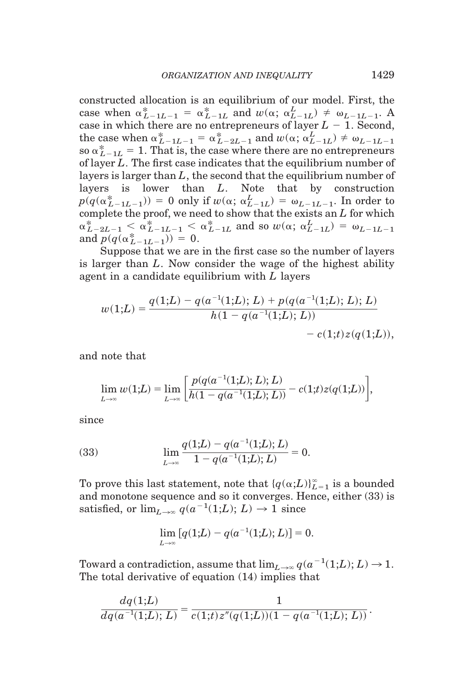constructed allocation is an equilibrium of our model. First, the case when  $\alpha_{L-1}^* = \alpha_{L-1}^*$  and  $w(\alpha; \alpha_{L-1}^L) \neq \omega_{L-1}$ . A case in which there are no entrepreneurs of layer  $L - 1$ . Second, the case when  $\alpha_{L-1}^* = \alpha_{L-2L-1}^*$  and  $w(\alpha; \alpha_{L-1L}^L) \neq \omega_{L-1L-1}$ so  $\alpha_{L-1L}^* = 1$ . That is, the case where there are no entrepreneurs of layer *L*. The first case indicates that the equilibrium number of layers is larger than *L*, the second that the equilibrium number of layers is lower than *L*. Note that by construction  $p(q(\alpha_{L-1L-1}^*) ) = 0$  only if  $w(\alpha; \alpha_{L-1L}^L) = \omega_{L-1L-1}$ . In order to complete the proof, we need to show that the exists an *L* for which  $\alpha_{L-2L-1}^* < \alpha_{L-1L-1}^* < \alpha_{L-1L}^*$  and so  $w(\alpha; \alpha_{L-1L}^L) = \omega_{L-1L-1}$ and  $p(q(\alpha_{L-1L-1}^*) ) = 0$ .

Suppose that we are in the first case so the number of layers is larger than *L*. Now consider the wage of the highest ability agent in a candidate equilibrium with *L* layers

$$
w(1;L) = \frac{q(1;L) - q(a^{-1}(1;L); L) + p(q(a^{-1}(1;L); L); L)}{h(1 - q(a^{-1}(1;L); L))} - c(1; t)z(q(1;L)),
$$

and note that

$$
\lim_{L \to \infty} w(1;L) = \lim_{L \to \infty} \left[ \frac{p(q(a^{-1}(1;L);L);L)}{h(1 - q(a^{-1}(1;L);L))} - c(1;t)z(q(1;L)) \right],
$$

since

(33) 
$$
\lim_{L \to \infty} \frac{q(1;L) - q(a^{-1}(1;L); L)}{1 - q(a^{-1}(1;L); L)} = 0.
$$

To prove this last statement, note that  ${q(\alpha;L)}_{L=1}^{\infty}$  is a bounded and monotone sequence and so it converges. Hence, either (33) is satisfied, or  $\lim_{L\to\infty} q(a^{-1}(1;L); L) \to 1$  since

$$
\lim_{L\to\infty} [q(1;L) - q(a^{-1}(1;L);L)] = 0.
$$

Toward a contradiction, assume that  $\lim_{L\to\infty} q(a^{-1}(1;L); L) \to 1$ . The total derivative of equation (14) implies that

$$
\frac{dq(1;L)}{dq(a^{-1}(1;L);L)} = \frac{1}{c(1;t)z''(q(1;L))(1-q(a^{-1}(1;L);L))}.
$$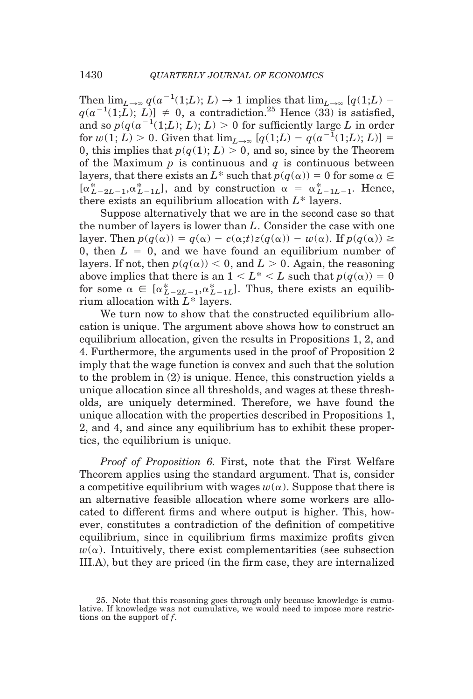Then  $\lim_{L\to\infty} q(a^{-1}(1;L); L) \to 1$  implies that  $\lim_{L\to\infty} [q(1;L)$  $q(a^{-1}(1;L); L] \neq 0$ , a contradiction.<sup>25</sup> Hence (33) is satisfied, and so  $p(q(a^{-1}(1;L); L); L) > 0$  for sufficiently large *L* in order for  $w(1; L) > 0$ . Given that  $\lim_{L \to \infty} [q(1; L) - q(a^{-1}(1; L); L)] =$ 0, this implies that  $p(q(1); L) > 0$ , and so, since by the Theorem of the Maximum *p* is continuous and *q* is continuous between layers, that there exists an  $L^*$  such that  $p(q(\alpha)) = 0$  for some  $\alpha \in$  $[\alpha_{L-2L-1}^*, \alpha_{L-1L}^*]$ , and by construction  $\alpha = \alpha_{L-1L-1}^*$ . Hence, there exists an equilibrium allocation with  $L^*$  layers.

Suppose alternatively that we are in the second case so that the number of layers is lower than *L*. Consider the case with one layer. Then  $p(q(\alpha)) = q(\alpha) - c(\alpha; t)z(q(\alpha)) - w(\alpha)$ . If  $p(q(\alpha)) \ge$ 0, then  $L = 0$ , and we have found an equilibrium number of layers. If not, then  $p(q(\alpha)) < 0,$  and  $L > 0.$  Again, the reasoning above implies that there is an  $1 < L^* < L$  such that  $p(q(\alpha)) = 0$ for some  $\alpha \in [\alpha_{L-2L-1}^*, \alpha_{L-1L}^*]$ . Thus, there exists an equilibrium allocation with *L*\* layers.

We turn now to show that the constructed equilibrium allocation is unique. The argument above shows how to construct an equilibrium allocation, given the results in Propositions 1, 2, and 4. Furthermore, the arguments used in the proof of Proposition 2 imply that the wage function is convex and such that the solution to the problem in (2) is unique. Hence, this construction yields a unique allocation since all thresholds, and wages at these thresholds, are uniquely determined. Therefore, we have found the unique allocation with the properties described in Propositions 1, 2, and 4, and since any equilibrium has to exhibit these properties, the equilibrium is unique.

*Proof of Proposition 6.* First, note that the First Welfare Theorem applies using the standard argument. That is, consider a competitive equilibrium with wages  $w(\alpha)$ . Suppose that there is an alternative feasible allocation where some workers are allocated to different firms and where output is higher. This, however, constitutes a contradiction of the definition of competitive equilibrium, since in equilibrium firms maximize profits given  $w(\alpha)$ . Intuitively, there exist complementarities (see subsection III.A), but they are priced (in the firm case, they are internalized

<sup>25.</sup> Note that this reasoning goes through only because knowledge is cumulative. If knowledge was not cumulative, we would need to impose more restrictions on the support of *f*.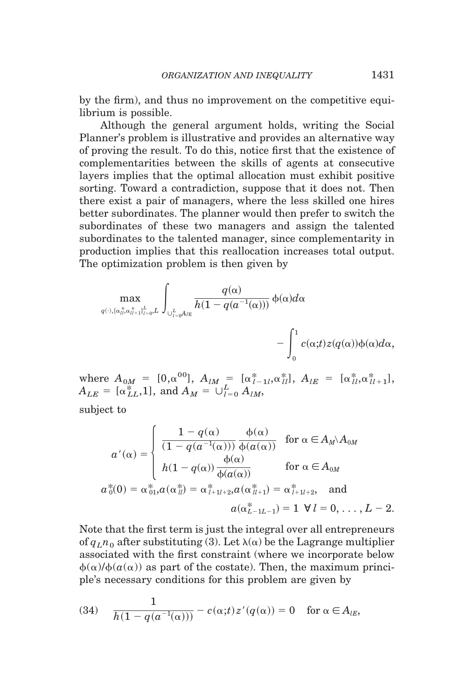by the firm), and thus no improvement on the competitive equilibrium is possible.

Although the general argument holds, writing the Social Planner's problem is illustrative and provides an alternative way of proving the result. To do this, notice first that the existence of complementarities between the skills of agents at consecutive layers implies that the optimal allocation must exhibit positive sorting. Toward a contradiction, suppose that it does not. Then there exist a pair of managers, where the less skilled one hires better subordinates. The planner would then prefer to switch the subordinates of these two managers and assign the talented subordinates to the talented manager, since complementarity in production implies that this reallocation increases total output. The optimization problem is then given by

$$
\max_{q(\cdot),\{\alpha_{il}^*,\alpha_{il+1}^* \}_{l=0},L} \int_{\cup_{l=0}^L A_{lE}} \frac{q(\alpha)}{h(1-q(a^{-1}(\alpha)))}\, \varphi(\alpha) d\alpha \\[2ex] \qquad \qquad \displaystyle -\int_0^1 c(\alpha;t)z(q(\alpha))\varphi(\alpha) d\alpha,
$$

where  $A_{0M} = [0, \alpha^{00}], A_{lM} = [\alpha_{l-1l}^*, \alpha_{lll}^*], A_{lE} = [\alpha_{lll}^*, \alpha_{lll+1}^*],$  $A_{LE} = [\alpha_{LL}^*, 1], \text{ and } A_M = \bigcup_{l=0}^{L} A_{lM},$ 

subject to

$$
\alpha'(\alpha) = \begin{cases}\n\frac{1 - q(\alpha)}{(1 - q(\alpha^{-1}(\alpha)))} \frac{\varphi(\alpha)}{\varphi(\alpha(\alpha))} & \text{for } \alpha \in A_M \setminus A_{0M} \\
h(1 - q(\alpha)) \frac{\varphi(\alpha)}{\varphi(\alpha(\alpha))} & \text{for } \alpha \in A_{0M} \\
n^*(0) = \alpha^*_{01}, a(\alpha^*_{\mu}) = \alpha^*_{\mu+1} \quad \text{and} \\
\alpha(\alpha^*_{\mu-1L-1}) = 1 \quad \forall \ l = 0, \ldots, L-2.\n\end{cases}
$$

Note that the first term is just the integral over all entrepreneurs of  $q_{L}n_{0}$  after substituting (3). Let  $\lambda(\alpha)$  be the Lagrange multiplier associated with the first constraint (where we incorporate below  $\phi(\alpha)/\phi(a(\alpha))$  as part of the costate). Then, the maximum principle's necessary conditions for this problem are given by

(34) 
$$
\frac{1}{h(1 - q(a^{-1}(\alpha)))} - c(\alpha; t)z'(q(\alpha)) = 0 \text{ for } \alpha \in A_{lE},
$$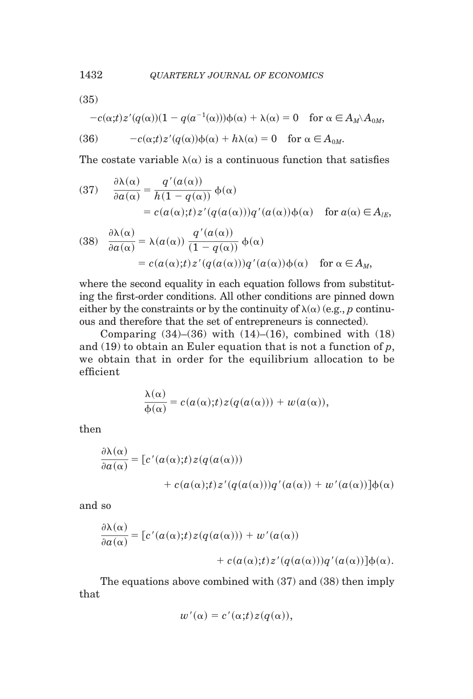(35)

$$
-c(\alpha;t)z'(q(\alpha))(1-q(a^{-1}(\alpha)))\phi(\alpha)+\lambda(\alpha)=0 \text{ for } \alpha \in A_M \setminus A_{0M},
$$
  
(36) 
$$
-c(\alpha;t)z'(q(\alpha))\phi(\alpha)+h\lambda(\alpha)=0 \text{ for } \alpha \in A_{0M}.
$$

The costate variable  $\lambda(\alpha)$  is a continuous function that satisfies

(37) 
$$
\frac{\partial \lambda(\alpha)}{\partial a(\alpha)} = \frac{q'(a(\alpha))}{h(1 - q(\alpha))} \phi(\alpha)
$$

$$
= c(a(\alpha);t)z'(q(a(\alpha)))q'(a(\alpha))\phi(\alpha) \text{ for } a(\alpha) \in A_{\text{LE}},
$$

(38) 
$$
\frac{\partial \lambda(\alpha)}{\partial a(\alpha)} = \lambda(a(\alpha)) \frac{q'(a(\alpha))}{(1-q(\alpha))} \phi(\alpha)
$$

$$
= c(a(\alpha);t)z'(q(a(\alpha)))q'(a(\alpha))\phi(\alpha) \text{ for } \alpha \in A_M,
$$

where the second equality in each equation follows from substituting the first-order conditions. All other conditions are pinned down either by the constraints or by the continuity of  $\lambda(\alpha)$  (e.g., *p* continuous and therefore that the set of entrepreneurs is connected).

Comparing  $(34)$ – $(36)$  with  $(14)$ – $(16)$ , combined with  $(18)$ and (19) to obtain an Euler equation that is not a function of *p*, we obtain that in order for the equilibrium allocation to be efficient

$$
\frac{\lambda(\alpha)}{\varphi(\alpha)} = c(a(\alpha);t)z(q(a(\alpha))) + w(a(\alpha)),
$$

then

$$
\frac{\partial \lambda(\alpha)}{\partial a(\alpha)} = [c'(a(\alpha);t)z(q(a(\alpha))))+ c(a(\alpha);t)z'(q(a(\alpha)))q'(a(\alpha)) + w'(a(\alpha))] \phi(\alpha)
$$

and so

$$
\frac{\partial \lambda(\alpha)}{\partial a(\alpha)} = [c'(a(\alpha);t)z(q(a(\alpha)))) + w'(a(\alpha))+ c(a(\alpha);t)z'(q(a(\alpha)))q'(a(\alpha))] \phi(\alpha).
$$

The equations above combined with (37) and (38) then imply that

$$
w'(\alpha) = c'(\alpha;t)z(q(\alpha)),
$$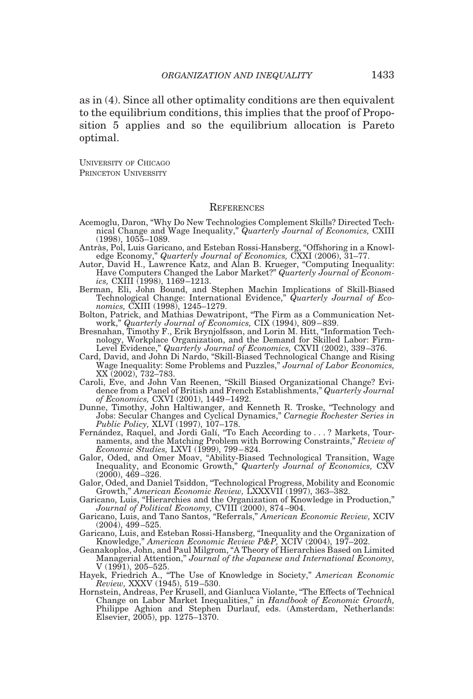as in (4). Since all other optimality conditions are then equivalent to the equilibrium conditions, this implies that the proof of Proposition 5 applies and so the equilibrium allocation is Pareto optimal.

UNIVERSITY OF CHICAGO PRINCETON UNIVERSITY

#### **REFERENCES**

- Acemoglu, Daron, "Why Do New Technologies Complement Skills? Directed Technical Change and Wage Inequality," *Quarterly Journal of Economics,* CXIII (1998), 1055–1089.
- Antra`s, Pol, Luis Garicano, and Esteban Rossi-Hansberg, "Offshoring in a Knowledge Economy," *Quarterly Journal of Economics,* CXXI (2006), 31–77.
- Autor, David H., Lawrence Katz, and Alan B. Krueger, "Computing Inequality: Have Computers Changed the Labor Market?" *Quarterly Journal of Economics,* CXIII (1998), 1169 –1213.
- Berman, Eli, John Bound, and Stephen Machin Implications of Skill-Biased Technological Change: International Evidence," *Quarterly Journal of Economics,* CXIII (1998), 1245–1279.
- Bolton, Patrick, and Mathias Dewatripont, "The Firm as a Communication Network," *Quarterly Journal of Economics,* CIX (1994), 809 – 839.
- Bresnahan, Timothy F., Erik Brynjolfsson, and Lorin M. Hitt, "Information Technology, Workplace Organization, and the Demand for Skilled Labor: Firm-Level Evidence," *Quarterly Journal of Economics,* CXVII (2002), 339 –376.
- Card, David, and John Di Nardo, "Skill-Biased Technological Change and Rising Wage Inequality: Some Problems and Puzzles," *Journal of Labor Economics,* XX (2002), 732–783.
- Caroli, Eve, and John Van Reenen, "Skill Biased Organizational Change? Evidence from a Panel of British and French Establishments," *Quarterly Journal of Economics,* CXVI (2001), 1449 –1492.
- Dunne, Timothy, John Haltiwanger, and Kenneth R. Troske, "Technology and Jobs: Secular Changes and Cyclical Dynamics," *Carnegie Rochester Series in Public Policy,* XLVI (1997), 107–178.
- Fernández, Raquel, and Jordi Galí, "To Each According to . . .? Markets, Tournaments, and the Matching Problem with Borrowing Constraints," *Review of Economic Studies,* LXVI (1999), 799 – 824.
- Galor, Oded, and Omer Moav, "Ability-Biased Technological Transition, Wage Inequality, and Economic Growth," *Quarterly Journal of Economics,* CXV (2000), 469 –326.
- Galor, Oded, and Daniel Tsiddon, "Technological Progress, Mobility and Economic Growth," *American Economic Review,* LXXXVII (1997), 363–382.
- Garicano, Luis, "Hierarchies and the Organization of Knowledge in Production," *Journal of Political Economy,* CVIII (2000), 874 –904.
- Garicano, Luis, and Tano Santos, "Referrals," *American Economic Review,* XCIV (2004), 499 –525.
- Garicano, Luis, and Esteban Rossi-Hansberg, "Inequality and the Organization of Knowledge," *American Economic Review P&P,* XCIV (2004), 197–202.
- Geanakoplos, John, and Paul Milgrom, "A Theory of Hierarchies Based on Limited Managerial Attention," *Journal of the Japanese and International Economy,* V (1991), 205–525. Hayek, Friedrich A., "The Use of Knowledge in Society," *American Economic*
- *Review,* XXXV (1945), 519 –530.
- Hornstein, Andreas, Per Krusell, and Gianluca Violante, "The Effects of Technical Change on Labor Market Inequalities," in *Handbook of Economic Growth,* Philippe Aghion and Stephen Durlauf, eds. (Amsterdam, Netherlands: Elsevier, 2005), pp. 1275–1370.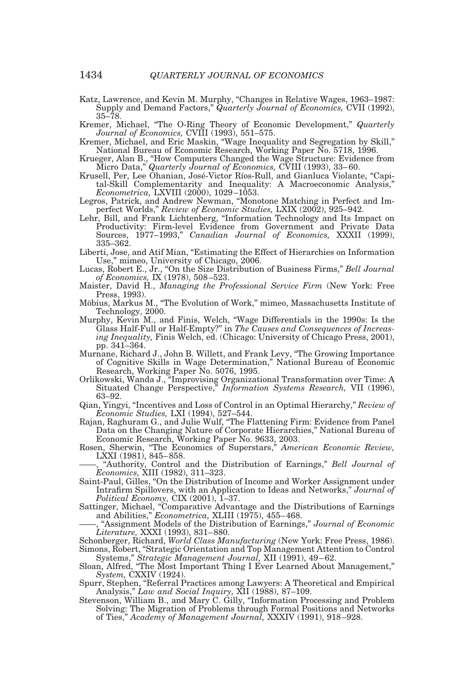Katz, Lawrence, and Kevin M. Murphy, "Changes in Relative Wages, 1963–1987: Supply and Demand Factors," *Quarterly Journal of Economics,* CVII (1992), 35–78.

Kremer, Michael, "The O-Ring Theory of Economic Development," *Quarterly Journal of Economics,* CVIII (1993), 551–575.

- Kremer, Michael, and Eric Maskin, "Wage Inequality and Segregation by Skill," National Bureau of Economic Research, Working Paper No. 5718, 1996.
- Krueger, Alan B., "How Computers Changed the Wage Structure: Evidence from Micro Data," *Quarterly Journal of Economics,* CVIII (1993), 33– 60.
- Krusell, Per, Lee Ohanian, José-Victor Ríos-Rull, and Gianluca Violante, "Capital-Skill Complementarity and Inequality: A Macroeconomic Analysis," *Econometrica,* LXVIII (2000), 1029 –1053.
- Legros, Patrick, and Andrew Newman, "Monotone Matching in Perfect and Imperfect Worlds," *Review of Economic Studies,* LXIX (2002), 925–942.
- Lehr, Bill, and Frank Lichtenberg, "Information Technology and Its Impact on Productivity: Firm-level Evidence from Government and Private Data Sources, 1977–1993," *Canadian Journal of Economics,* XXXII (1999), 335–362.
- Liberti, Jose, and Atif Mian, "Estimating the Effect of Hierarchies on Information Use," mimeo, University of Chicago, 2006.
- Lucas, Robert E., Jr., "On the Size Distribution of Business Firms," *Bell Journal of Economics,* IX (1978), 508 –523.
- Maister, David H., *Managing the Professional Service Firm* (New York: Free Press, 1993).
- Möbius, Markus M., "The Evolution of Work," mimeo, Massachusetts Institute of Technology, 2000.
- Murphy, Kevin M., and Finis, Welch, "Wage Differentials in the 1990s: Is the Glass Half-Full or Half-Empty?" in *The Causes and Consequences of Increasing Inequality,* Finis Welch, ed. (Chicago: University of Chicago Press, 2001), pp. 341–364.
- Murnane, Richard J., John B. Willett, and Frank Levy, "The Growing Importance of Cognitive Skills in Wage Determination," National Bureau of Economic Research, Working Paper No. 5076, 1995.
- Orlikowski, Wanda J., "Improvising Organizational Transformation over Time: A Situated Change Perspective," *Information Systems Research,* VII (1996), 63–92.
- Qian, Yingyi, "Incentives and Loss of Control in an Optimal Hierarchy," *Review of Economic Studies,* LXI (1994), 527–544.
- Rajan, Raghuram G., and Julie Wulf, "The Flattening Firm: Evidence from Panel Data on the Changing Nature of Corporate Hierarchies," National Bureau of Economic Research, Working Paper No. 9633, 2003.
- Rosen, Sherwin, "The Economics of Superstars," *American Economic Review,* LXXI (1981), 845– 858.

——, "Authority, Control and the Distribution of Earnings," *Bell Journal of Economics,* XIII (1982), 311–323.

- Saint-Paul, Gilles, "On the Distribution of Income and Worker Assignment under Intrafirm Spillovers, with an Application to Ideas and Networks," *Journal of Political Economy,* CIX (2001), 1–37.
- Sattinger, Michael, "Comparative Advantage and the Distributions of Earnings and Abilities," *Econometrica,* XLIII (1975), 455– 468.

——, "Assignment Models of the Distribution of Earnings," *Journal of Economic Literature,* XXXI (1993), 831– 880.

Schonberger, Richard, *World Class Manufacturing* (New York: Free Press, 1986). Simons, Robert, "Strategic Orientation and Top Management Attention to Control Systems," *Strategic Management Journal,* XII (1991), 49 – 62.

- Sloan, Alfred, "The Most Important Thing I Ever Learned About Management," *System,* CXXIV (1924).
- Spurr, Stephen, "Referral Practices among Lawyers: A Theoretical and Empirical Analysis," *Law and Social Inquiry,* XII (1988), 87–109.
- Stevenson, William B., and Mary C. Gilly, "Information Processing and Problem Solving: The Migration of Problems through Formal Positions and Networks of Ties," *Academy of Management Journal,* XXXIV (1991), 918 –928.